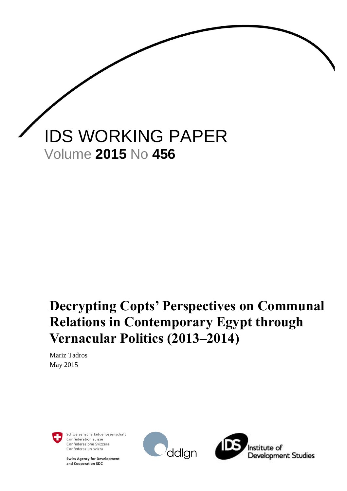

# **Decrypting Copts' Perspectives on Communal Relations in Contemporary Egypt through Vernacular Politics (2013–2014)**

Mariz Tadros May 2015



Schweizerische Eidgenossenschaft Confédération suisse Confederazione Svizzera Confederaziun svizra

**Swiss Agency for Development** and Cooperation SDC



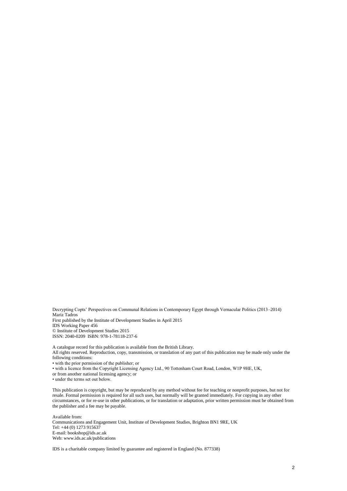Decrypting Copts' Perspectives on Communal Relations in Contemporary Egypt through Vernacular Politics (2013–2014) Mariz Tadros First published by the Institute of Development Studies in April 2015

IDS Working Paper 456 © Institute of Development Studies 2015 ISSN: 2040-0209 ISBN: 978-1-78118-237-6

A catalogue record for this publication is available from the British Library. All rights reserved. Reproduction, copy, transmission, or translation of any part of this publication may be made only under the following conditions: • with the prior permission of the publisher; or

• with a licence from the Copyright Licensing Agency Ltd., 90 Tottenham Court Road, London, W1P 9HE, UK,

or from another national licensing agency; or

• under the terms set out below.

This publication is copyright, but may be reproduced by any method without fee for teaching or nonprofit purposes, but not for resale. Formal permission is required for all such uses, but normally will be granted immediately. For copying in any other circumstances, or for re-use in other publications, or for translation or adaptation, prior written permission must be obtained from the publisher and a fee may be payable.

Available from: Communications and Engagement Unit, Institute of Development Studies, Brighton BN1 9RE, UK Tel: +44 (0) 1273 915637 E-mail: bookshop@ids.ac.uk Web: www.ids.ac.uk/publications

IDS is a charitable company limited by guarantee and registered in England (No. 877338)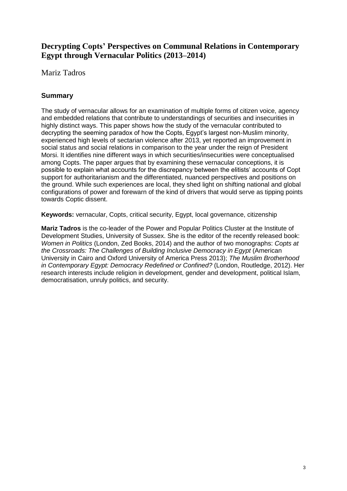### **Decrypting Copts' Perspectives on Communal Relations in Contemporary Egypt through Vernacular Politics (2013–2014)**

Mariz Tadros

### <span id="page-2-0"></span>**Summary**

The study of vernacular allows for an examination of multiple forms of citizen voice, agency and embedded relations that contribute to understandings of securities and insecurities in highly distinct ways. This paper shows how the study of the vernacular contributed to decrypting the seeming paradox of how the Copts, Egypt's largest non-Muslim minority, experienced high levels of sectarian violence after 2013, yet reported an improvement in social status and social relations in comparison to the year under the reign of President Morsi. It identifies nine different ways in which securities/insecurities were conceptualised among Copts. The paper argues that by examining these vernacular conceptions, it is possible to explain what accounts for the discrepancy between the elitists' accounts of Copt support for authoritarianism and the differentiated, nuanced perspectives and positions on the ground. While such experiences are local, they shed light on shifting national and global configurations of power and forewarn of the kind of drivers that would serve as tipping points towards Coptic dissent.

**Keywords:** vernacular, Copts, critical security, Egypt, local governance, citizenship

**Mariz Tadros** is the co-leader of the Power and Popular Politics Cluster at the Institute of Development Studies, University of Sussex. She is the editor of the recently released book: *Women in Politics* (London, Zed Books, 2014) and the author of two monographs: *Copts at the Crossroads: The Challenges of Building Inclusive Democracy in Egypt* (American University in Cairo and Oxford University of America Press 2013); *The Muslim Brotherhood in Contemporary Egypt: Democracy Redefined or Confined?* (London, Routledge, 2012). Her research interests include religion in development, gender and development, political Islam, democratisation, unruly politics, and security.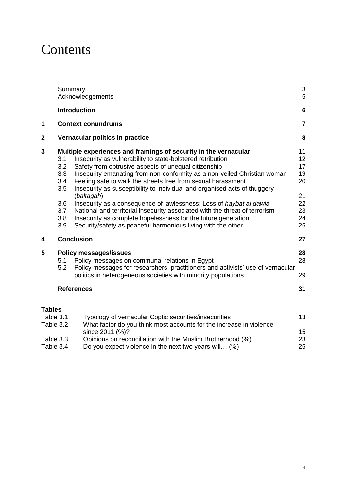## **Contents**

|                                     | Summary                                                     | Acknowledgements                                                                                                                                                                                                                                                                                                                                                                                                                                                                                                                                                                                                                                                                                                    | $\sqrt{3}$<br>5                                          |
|-------------------------------------|-------------------------------------------------------------|---------------------------------------------------------------------------------------------------------------------------------------------------------------------------------------------------------------------------------------------------------------------------------------------------------------------------------------------------------------------------------------------------------------------------------------------------------------------------------------------------------------------------------------------------------------------------------------------------------------------------------------------------------------------------------------------------------------------|----------------------------------------------------------|
|                                     | <b>Introduction</b>                                         |                                                                                                                                                                                                                                                                                                                                                                                                                                                                                                                                                                                                                                                                                                                     | $6\phantom{1}6$                                          |
| 1                                   |                                                             | <b>Context conundrums</b>                                                                                                                                                                                                                                                                                                                                                                                                                                                                                                                                                                                                                                                                                           | $\overline{7}$                                           |
| $\mathbf{2}$                        |                                                             | Vernacular politics in practice                                                                                                                                                                                                                                                                                                                                                                                                                                                                                                                                                                                                                                                                                     | 8                                                        |
| 3                                   | 3.1<br>3.2<br>3.3<br>3.4<br>3.5<br>3.6<br>3.7<br>3.8<br>3.9 | Multiple experiences and framings of security in the vernacular<br>Insecurity as vulnerability to state-bolstered retribution<br>Safety from obtrusive aspects of unequal citizenship<br>Insecurity emanating from non-conformity as a non-veiled Christian woman<br>Feeling safe to walk the streets free from sexual harassment<br>Insecurity as susceptibility to individual and organised acts of thuggery<br>(baltagah)<br>Insecurity as a consequence of lawlessness: Loss of haybat al dawla<br>National and territorial insecurity associated with the threat of terrorism<br>Insecurity as complete hopelessness for the future generation<br>Security/safety as peaceful harmonious living with the other | 11<br>12<br>17<br>19<br>20<br>21<br>22<br>23<br>24<br>25 |
| 4                                   | <b>Conclusion</b>                                           |                                                                                                                                                                                                                                                                                                                                                                                                                                                                                                                                                                                                                                                                                                                     | 27                                                       |
| 5                                   | 5.1<br>5.2                                                  | <b>Policy messages/issues</b><br>Policy messages on communal relations in Egypt<br>Policy messages for researchers, practitioners and activists' use of vernacular<br>politics in heterogeneous societies with minority populations                                                                                                                                                                                                                                                                                                                                                                                                                                                                                 | 28<br>28<br>29                                           |
|                                     | <b>References</b>                                           |                                                                                                                                                                                                                                                                                                                                                                                                                                                                                                                                                                                                                                                                                                                     | 31                                                       |
| <b>Tables</b>                       |                                                             |                                                                                                                                                                                                                                                                                                                                                                                                                                                                                                                                                                                                                                                                                                                     |                                                          |
| Table 3.1<br>Table 3.2<br>Table 3.3 |                                                             | Typology of vernacular Coptic securities/insecurities<br>What factor do you think most accounts for the increase in violence<br>since 2011 (%)?<br>Opinions on reconciliation with the Muslim Brotherhood (%)                                                                                                                                                                                                                                                                                                                                                                                                                                                                                                       | 13<br>15<br>23                                           |

Table 3.4 [Do you expect violence in the next two years will… \(%\)](#page-24-1) 25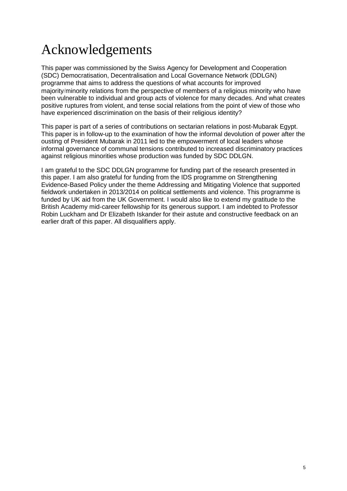# <span id="page-4-0"></span>Acknowledgements

This paper was commissioned by the Swiss Agency for Development and Cooperation (SDC) Democratisation, Decentralisation and Local Governance Network (DDLGN) programme that aims to address the questions of what accounts for improved majority/minority relations from the perspective of members of a religious minority who have been vulnerable to individual and group acts of violence for many decades. And what creates positive ruptures from violent, and tense social relations from the point of view of those who have experienced discrimination on the basis of their religious identity?

This paper is part of a series of contributions on sectarian relations in post-Mubarak Egypt. This paper is in follow-up to the examination of how the informal devolution of power after the ousting of President Mubarak in 2011 led to the empowerment of local leaders whose informal governance of communal tensions contributed to increased discriminatory practices against religious minorities whose production was funded by SDC DDLGN.

I am grateful to the SDC DDLGN programme for funding part of the research presented in this paper. I am also grateful for funding from the IDS programme on Strengthening Evidence-Based Policy under the theme Addressing and Mitigating Violence that supported fieldwork undertaken in 2013/2014 on political settlements and violence. This programme is funded by UK aid from the UK Government. I would also like to extend my gratitude to the British Academy mid-career fellowship for its generous support. I am indebted to Professor Robin Luckham and Dr Elizabeth Iskander for their astute and constructive feedback on an earlier draft of this paper. All disqualifiers apply.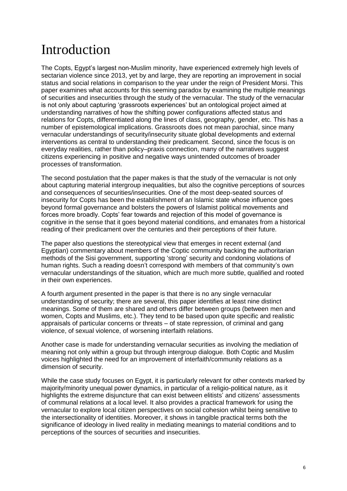## <span id="page-5-0"></span>Introduction

The Copts, Egypt's largest non-Muslim minority, have experienced extremely high levels of sectarian violence since 2013, yet by and large, they are reporting an improvement in social status and social relations in comparison to the year under the reign of President Morsi. This paper examines what accounts for this seeming paradox by examining the multiple meanings of securities and insecurities through the study of the vernacular. The study of the vernacular is not only about capturing 'grassroots experiences' but an ontological project aimed at understanding narratives of how the shifting power configurations affected status and relations for Copts, differentiated along the lines of class, geography, gender, etc. This has a number of epistemological implications. Grassroots does not mean parochial, since many vernacular understandings of security/insecurity situate global developments and external interventions as central to understanding their predicament. Second, since the focus is on everyday realities, rather than policy–praxis connection, many of the narratives suggest citizens experiencing in positive and negative ways unintended outcomes of broader processes of transformation.

The second postulation that the paper makes is that the study of the vernacular is not only about capturing material intergroup inequalities, but also the cognitive perceptions of sources and consequences of securities/insecurities. One of the most deep-seated sources of insecurity for Copts has been the establishment of an Islamic state whose influence goes beyond formal governance and bolsters the powers of Islamist political movements and forces more broadly. Copts' fear towards and rejection of this model of governance is cognitive in the sense that it goes beyond material conditions, and emanates from a historical reading of their predicament over the centuries and their perceptions of their future.

The paper also questions the stereotypical view that emerges in recent external (and Egyptian) commentary about members of the Coptic community backing the authoritarian methods of the Sisi government, supporting 'strong' security and condoning violations of human rights. Such a reading doesn't correspond with members of that community's own vernacular understandings of the situation, which are much more subtle, qualified and rooted in their own experiences.

A fourth argument presented in the paper is that there is no any single vernacular understanding of security; there are several, this paper identifies at least nine distinct meanings. Some of them are shared and others differ between groups (between men and women, Copts and Muslims, etc.). They tend to be based upon quite specific and realistic appraisals of particular concerns or threats – of state repression, of criminal and gang violence, of sexual violence, of worsening interfaith relations.

Another case is made for understanding vernacular securities as involving the mediation of meaning not only within a group but through intergroup dialogue. Both Coptic and Muslim voices highlighted the need for an improvement of interfaith/community relations as a dimension of security.

While the case study focuses on Egypt, it is particularly relevant for other contexts marked by majority/minority unequal power dynamics, in particular of a religio-political nature, as it highlights the extreme disjuncture that can exist between elitists' and citizens' assessments of communal relations at a local level. It also provides a practical framework for using the vernacular to explore local citizen perspectives on social cohesion whilst being sensitive to the intersectionality of identities. Moreover, it shows in tangible practical terms both the significance of ideology in lived reality in mediating meanings to material conditions and to perceptions of the sources of securities and insecurities.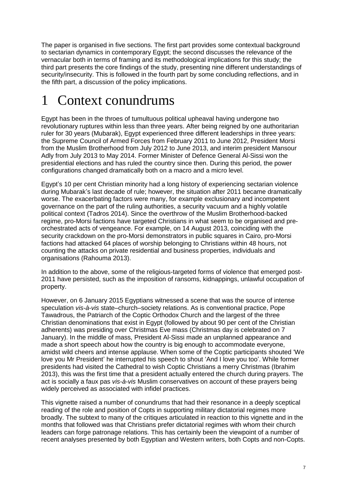The paper is organised in five sections. The first part provides some contextual background to sectarian dynamics in contemporary Egypt; the second discusses the relevance of the vernacular both in terms of framing and its methodological implications for this study; the third part presents the core findings of the study, presenting nine different understandings of security/insecurity. This is followed in the fourth part by some concluding reflections, and in the fifth part, a discussion of the policy implications.

# <span id="page-6-0"></span>1 Context conundrums

Egypt has been in the throes of tumultuous political upheaval having undergone two revolutionary ruptures within less than three years. After being reigned by one authoritarian ruler for 30 years (Mubarak), Egypt experienced three different leaderships in three years: the Supreme Council of Armed Forces from February 2011 to June 2012, President Morsi from the Muslim Brotherhood from July 2012 to June 2013, and interim president Mansour Adly from July 2013 to May 2014. Former Minister of Defence General Al-Sissi won the presidential elections and has ruled the country since then. During this period, the power configurations changed dramatically both on a macro and a micro level.

Egypt's 10 per cent Christian minority had a long history of experiencing sectarian violence during Mubarak's last decade of rule; however, the situation after 2011 became dramatically worse. The exacerbating factors were many, for example exclusionary and incompetent governance on the part of the ruling authorities, a security vacuum and a highly volatile political context (Tadros 2014). Since the overthrow of the Muslim Brotherhood-backed regime, pro-Morsi factions have targeted Christians in what seem to be organised and preorchestrated acts of vengeance. For example, on 14 August 2013, coinciding with the security crackdown on the pro-Morsi demonstrators in public squares in Cairo, pro-Morsi factions had attacked 64 places of worship belonging to Christians within 48 hours, not counting the attacks on private residential and business properties, individuals and organisations (Rahouma 2013).

In addition to the above, some of the religious-targeted forms of violence that emerged post-2011 have persisted, such as the imposition of ransoms, kidnappings, unlawful occupation of property.

However, on 6 January 2015 Egyptians witnessed a scene that was the source of intense speculation *vis-à-vis* state–church–society relations. As is conventional practice, Pope Tawadrous, the Patriarch of the Coptic Orthodox Church and the largest of the three Christian denominations that exist in Egypt (followed by about 90 per cent of the Christian adherents) was presiding over Christmas Eve mass (Christmas day is celebrated on 7 January). In the middle of mass, President Al-Sissi made an unplanned appearance and made a short speech about how the country is big enough to accommodate everyone, amidst wild cheers and intense applause. When some of the Coptic participants shouted 'We love you Mr President' he interrupted his speech to shout 'And I love you too'. While former presidents had visited the Cathedral to wish Coptic Christians a merry Christmas (Ibrahim 2013), this was the first time that a president actually entered the church during prayers. The act is socially a faux pas *vis-à-vis* Muslim conservatives on account of these prayers being widely perceived as associated with infidel practices.

This vignette raised a number of conundrums that had their resonance in a deeply sceptical reading of the role and position of Copts in supporting military dictatorial regimes more broadly. The subtext to many of the critiques articulated in reaction to this vignette and in the months that followed was that Christians prefer dictatorial regimes with whom their church leaders can forge patronage relations. This has certainly been the viewpoint of a number of recent analyses presented by both Egyptian and Western writers, both Copts and non-Copts.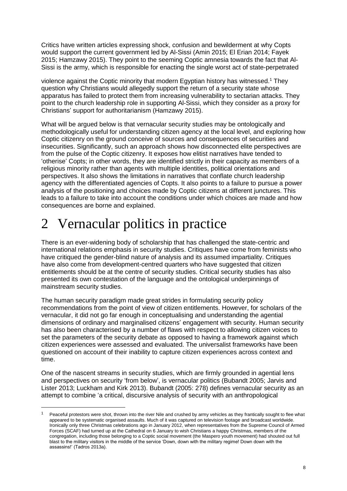Critics have written articles expressing shock, confusion and bewilderment at why Copts would support the current government led by Al-Sissi (Amin 2015; El Erian 2014; Fayek 2015; Hamzawy 2015). They point to the seeming Coptic amnesia towards the fact that Al-Sissi is the army, which is responsible for enacting the single worst act of state-perpetrated

violence against the Coptic minority that modern Egyptian history has witnessed. <sup>1</sup> They question why Christians would allegedly support the return of a security state whose apparatus has failed to protect them from increasing vulnerability to sectarian attacks. They point to the church leadership role in supporting Al-Sissi, which they consider as a proxy for Christians' support for authoritarianism (Hamzawy 2015).

What will be argued below is that vernacular security studies may be ontologically and methodologically useful for understanding citizen agency at the local level, and exploring how Coptic citizenry on the ground conceive of sources and consequences of securities and insecurities. Significantly, such an approach shows how disconnected elite perspectives are from the pulse of the Coptic citizenry. It exposes how elitist narratives have tended to 'otherise' Copts; in other words, they are identified strictly in their capacity as members of a religious minority rather than agents with multiple identities, political orientations and perspectives. It also shows the limitations in narratives that conflate church leadership agency with the differentiated agencies of Copts. It also points to a failure to pursue a power analysis of the positioning and choices made by Coptic citizens at different junctures. This leads to a failure to take into account the conditions under which choices are made and how consequences are borne and explained.

# <span id="page-7-0"></span>2 Vernacular politics in practice

1

There is an ever-widening body of scholarship that has challenged the state-centric and international relations emphasis in security studies. Critiques have come from feminists who have critiqued the gender-blind nature of analysis and its assumed impartiality. Critiques have also come from development-centred quarters who have suggested that citizen entitlements should be at the centre of security studies. Critical security studies has also presented its own contestation of the language and the ontological underpinnings of mainstream security studies.

The human security paradigm made great strides in formulating security policy recommendations from the point of view of citizen entitlements. However, for scholars of the vernacular, it did not go far enough in conceptualising and understanding the agential dimensions of ordinary and marginalised citizens' engagement with security. Human security has also been characterised by a number of flaws with respect to allowing citizen voices to set the parameters of the security debate as opposed to having a framework against which citizen experiences were assessed and evaluated. The universalist frameworks have been questioned on account of their inability to capture citizen experiences across context and time.

One of the nascent streams in security studies, which are firmly grounded in agential lens and perspectives on security 'from below', is vernacular politics (Bubandt 2005; Jarvis and Lister 2013; Luckham and Kirk 2013). Bubandt (2005: 278) defines vernacular security as an attempt to combine 'a critical, discursive analysis of security with an anthropological

Peaceful protestors were shot, thrown into the river Nile and crushed by army vehicles as they frantically sought to flee what appeared to be systematic organised assaults. Much of it was captured on television footage and broadcast worldwide. Ironically only three Christmas celebrations ago in January 2012, when representatives from the Supreme Council of Armed Forces (SCAF) had turned up at the Cathedral on 6 January to wish Christians a happy Christmas, members of the congregation, including those belonging to a Coptic social movement (the Maspero youth movement) had shouted out full blast to the military visitors in the middle of the service 'Down, down with the military regime! Down down with the assassins!' (Tadros 2013a).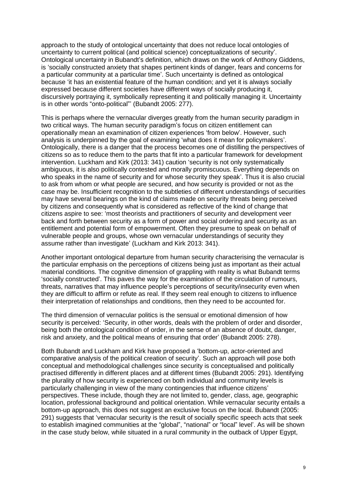approach to the study of ontological uncertainty that does not reduce local ontologies of uncertainty to current political (and political science) conceptualizations of security'. Ontological uncertainty in Bubandt's definition, which draws on the work of Anthony Giddens, is 'socially constructed anxiety that shapes pertinent kinds of danger, fears and concerns for a particular community at a particular time'. Such uncertainty is defined as ontological because 'it has an existential feature of the human condition; and yet it is always socially expressed because different societies have different ways of socially producing it, discursively portraying it, symbolically representing it and politically managing it. Uncertainty is in other words "onto-political"' (Bubandt 2005: 277).

This is perhaps where the vernacular diverges greatly from the human security paradigm in two critical ways. The human security paradigm's focus on citizen entitlement can operationally mean an examination of citizen experiences 'from below'. However, such analysis is underpinned by the goal of examining 'what does it mean for policymakers'. Ontologically, there is a danger that the process becomes one of distilling the perspectives of citizens so as to reduce them to the parts that fit into a particular framework for development intervention. Luckham and Kirk (2013: 341) caution 'security is not only systematically ambiguous, it is also politically contested and morally promiscuous. Everything depends on who speaks in the name of security and for whose security they speak'. Thus it is also crucial to ask from whom or what people are secured, and how security is provided or not as the case may be. Insufficient recognition to the subtleties of different understandings of securities may have several bearings on the kind of claims made on security threats being perceived by citizens and consequently what is considered as reflective of the kind of change that citizens aspire to see: 'most theorists and practitioners of security and development veer back and forth between security as a form of power and social ordering and security as an entitlement and potential form of empowerment. Often they presume to speak on behalf of vulnerable people and groups, whose own vernacular understandings of security they assume rather than investigate' (Luckham and Kirk 2013: 341).

Another important ontological departure from human security characterising the vernacular is the particular emphasis on the perceptions of citizens being just as important as their actual material conditions. The cognitive dimension of grappling with reality is what Bubandt terms 'socially constructed'. This paves the way for the examination of the circulation of rumours, threats, narratives that may influence people's perceptions of security/insecurity even when they are difficult to affirm or refute as real. If they seem real enough to citizens to influence their interpretation of relationships and conditions, then they need to be accounted for.

The third dimension of vernacular politics is the sensual or emotional dimension of how security is perceived: 'Security, in other words, deals with the problem of order and disorder, being both the ontological condition of order, in the sense of an absence of doubt, danger, risk and anxiety, and the political means of ensuring that order' (Bubandt 2005: 278).

Both Bubandt and Luckham and Kirk have proposed a 'bottom-up, actor-oriented and comparative analysis of the political creation of security'. Such an approach will pose both conceptual and methodological challenges since security is conceptualised and politically practised differently in different places and at different times (Bubandt 2005: 291). Identifying the plurality of how security is experienced on both individual and community levels is particularly challenging in view of the many contingencies that influence citizens' perspectives. These include, though they are not limited to, gender, class, age, geographic location, professional background and political orientation. While vernacular security entails a bottom-up approach, this does not suggest an exclusive focus on the local. Bubandt (2005: 291) suggests that 'vernacular security is the result of socially specific speech acts that seek to establish imagined communities at the "global", "national" or "local" level'. As will be shown in the case study below, while situated in a rural community in the outback of Upper Egypt,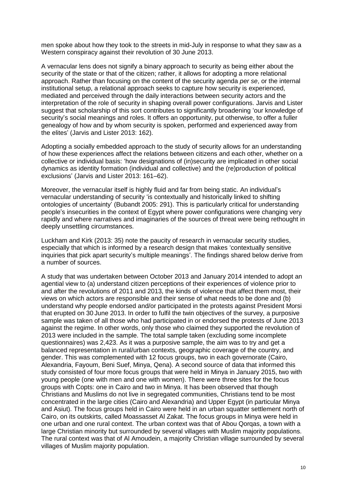men spoke about how they took to the streets in mid-July in response to what they saw as a Western conspiracy against their revolution of 30 June 2013.

A vernacular lens does not signify a binary approach to security as being either about the security of the state or that of the citizen; rather, it allows for adopting a more relational approach. Rather than focusing on the content of the security agenda *per se*, or the internal institutional setup, a relational approach seeks to capture how security is experienced, mediated and perceived through the daily interactions between security actors and the interpretation of the role of security in shaping overall power configurations. Jarvis and Lister suggest that scholarship of this sort contributes to significantly broadening 'our knowledge of security's social meanings and roles. It offers an opportunity, put otherwise, to offer a fuller genealogy of how and by whom security is spoken, performed and experienced away from the elites' (Jarvis and Lister 2013: 162).

Adopting a socially embedded approach to the study of security allows for an understanding of how these experiences affect the relations between citizens and each other, whether on a collective or individual basis: 'how designations of (in)security are implicated in other social dynamics as identity formation (individual and collective) and the (re)production of political exclusions' (Jarvis and Lister 2013: 161–62).

Moreover, the vernacular itself is highly fluid and far from being static. An individual's vernacular understanding of security 'is contextually and historically linked to shifting ontologies of uncertainty' (Bubandt 2005: 291). This is particularly critical for understanding people's insecurities in the context of Egypt where power configurations were changing very rapidly and where narratives and imaginaries of the sources of threat were being rethought in deeply unsettling circumstances.

Luckham and Kirk (2013: 35) note the paucity of research in vernacular security studies, especially that which is informed by a research design that makes 'contextually sensitive inquiries that pick apart security's multiple meanings'. The findings shared below derive from a number of sources.

A study that was undertaken between October 2013 and January 2014 intended to adopt an agential view to (a) understand citizen perceptions of their experiences of violence prior to and after the revolutions of 2011 and 2013, the kinds of violence that affect them most, their views on which actors are responsible and their sense of what needs to be done and (b) understand why people endorsed and/or participated in the protests against President Morsi that erupted on 30 June 2013. In order to fulfil the twin objectives of the survey, a purposive sample was taken of all those who had participated in or endorsed the protests of June 2013 against the regime. In other words, only those who claimed they supported the revolution of 2013 were included in the sample. The total sample taken (excluding some incomplete questionnaires) was 2,423. As it was a purposive sample, the aim was to try and get a balanced representation in rural/urban contexts, geographic coverage of the country, and gender. This was complemented with 12 focus groups, two in each governorate (Cairo, Alexandria, Fayoum, Beni Suef, Minya, Qena). A second source of data that informed this study consisted of four more focus groups that were held in Minya in January 2015, two with young people (one with men and one with women). There were three sites for the focus groups with Copts: one in Cairo and two in Minya. It has been observed that though Christians and Muslims do not live in segregated communities, Christians tend to be most concentrated in the large cities (Cairo and Alexandria) and Upper Egypt (in particular Minya and Asiut). The focus groups held in Cairo were held in an urban squatter settlement north of Cairo, on its outskirts, called Moassasset Al Zakat. The focus groups in Minya were held in one urban and one rural context. The urban context was that of Abou Qorqas, a town with a large Christian minority but surrounded by several villages with Muslim majority populations. The rural context was that of Al Amoudein, a majority Christian village surrounded by several villages of Muslim majority population.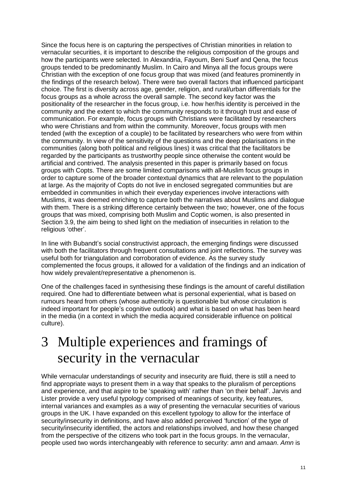Since the focus here is on capturing the perspectives of Christian minorities in relation to vernacular securities, it is important to describe the religious composition of the groups and how the participants were selected. In Alexandria, Fayoum, Beni Suef and Qena, the focus groups tended to be predominantly Muslim. In Cairo and Minya all the focus groups were Christian with the exception of one focus group that was mixed (and features prominently in the findings of the research below). There were two overall factors that influenced participant choice. The first is diversity across age, gender, religion, and rural/urban differentials for the focus groups as a whole across the overall sample. The second key factor was the positionality of the researcher in the focus group, i.e. how her/his identity is perceived in the community and the extent to which the community responds to it through trust and ease of communication. For example, focus groups with Christians were facilitated by researchers who were Christians and from within the community. Moreover, focus groups with men tended (with the exception of a couple) to be facilitated by researchers who were from within the community. In view of the sensitivity of the questions and the deep polarisations in the communities (along both political and religious lines) it was critical that the facilitators be regarded by the participants as trustworthy people since otherwise the content would be artificial and contrived. The analysis presented in this paper is primarily based on focus groups with Copts. There are some limited comparisons with all-Muslim focus groups in order to capture some of the broader contextual dynamics that are relevant to the population at large. As the majority of Copts do not live in enclosed segregated communities but are embedded in communities in which their everyday experiences involve interactions with Muslims, it was deemed enriching to capture both the narratives about Muslims and dialogue with them. There is a striking difference certainly between the two; however, one of the focus groups that was mixed, comprising both Muslim and Coptic women, is also presented in Section 3.9, the aim being to shed light on the mediation of insecurities in relation to the religious 'other'.

In line with Bubandt's social constructivist approach, the emerging findings were discussed with both the facilitators through frequent consultations and joint reflections. The survey was useful both for triangulation and corroboration of evidence. As the survey study complemented the focus groups, it allowed for a validation of the findings and an indication of how widely prevalent/representative a phenomenon is.

One of the challenges faced in synthesising these findings is the amount of careful distillation required. One had to differentiate between what is personal experiential, what is based on rumours heard from others (whose authenticity is questionable but whose circulation is indeed important for people's cognitive outlook) and what is based on what has been heard in the media (in a context in which the media acquired considerable influence on political culture).

### <span id="page-10-0"></span>3 Multiple experiences and framings of security in the vernacular

While vernacular understandings of security and insecurity are fluid, there is still a need to find appropriate ways to present them in a way that speaks to the pluralism of perceptions and experience, and that aspire to be 'speaking with' rather than 'on their behalf'. Jarvis and Lister provide a very useful typology comprised of meanings of security, key features, internal variances and examples as a way of presenting the vernacular securities of various groups in the UK. I have expanded on this excellent typology to allow for the interface of security/insecurity in definitions, and have also added perceived 'function' of the type of security/insecurity identified, the actors and relationships involved, and how these changed from the perspective of the citizens who took part in the focus groups. In the vernacular, people used two words interchangeably with reference to security: *amn* and *amaan*. *Amn* is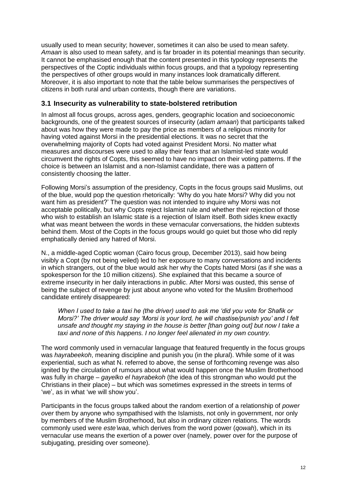usually used to mean security; however, sometimes it can also be used to mean safety. *Amaan* is also used to mean safety, and is far broader in its potential meanings than security. It cannot be emphasised enough that the content presented in this typology represents the perspectives of the Coptic individuals within focus groups, and that a typology representing the perspectives of other groups would in many instances look dramatically different. Moreover, it is also important to note that the table below summarises the perspectives of citizens in both rural and urban contexts, though there are variations.

#### <span id="page-11-0"></span>**3.1 Insecurity as vulnerability to state-bolstered retribution**

In almost all focus groups, across ages, genders, geographic location and socioeconomic backgrounds, one of the greatest sources of insecurity (*adam amaan*) that participants talked about was how they were made to pay the price as members of a religious minority for having voted against Morsi in the presidential elections. It was no secret that the overwhelming majority of Copts had voted against President Morsi. No matter what measures and discourses were used to allay their fears that an Islamist-led state would circumvent the rights of Copts, this seemed to have no impact on their voting patterns. If the choice is between an Islamist and a non-Islamist candidate, there was a pattern of consistently choosing the latter.

Following Morsi's assumption of the presidency, Copts in the focus groups said Muslims, out of the blue, would pop the question rhetorically: 'Why do you hate Morsi? Why did you not want him as president?' The question was not intended to inquire why Morsi was not acceptable politically, but why Copts reject Islamist rule and whether their rejection of those who wish to establish an Islamic state is a rejection of Islam itself. Both sides knew exactly what was meant between the words in these vernacular conversations, the hidden subtexts behind them. Most of the Copts in the focus groups would go quiet but those who did reply emphatically denied any hatred of Morsi.

N., a middle-aged Coptic woman (Cairo focus group, December 2013), said how being visibly a Copt (by not being veiled) led to her exposure to many conversations and incidents in which strangers, out of the blue would ask her why the Copts hated Morsi (as if she was a spokesperson for the 10 million citizens). She explained that this became a source of extreme insecurity in her daily interactions in public. After Morsi was ousted, this sense of being the subject of revenge by just about anyone who voted for the Muslim Brotherhood candidate entirely disappeared:

*When I used to take a taxi he (the driver) used to ask me 'did you vote for Shafik or Morsi?' The driver would say 'Morsi is your lord, he will chastise/punish you' and I felt unsafe and thought my staying in the house is better [than going out] but now I take a taxi and none of this happens. I no longer feel alienated in my own country.*

The word commonly used in vernacular language that featured frequently in the focus groups was *hayrabeekoh*, meaning discipline and punish you (in the plural). While some of it was experiential, such as what N. referred to above, the sense of forthcoming revenge was also ignited by the circulation of rumours about what would happen once the Muslim Brotherhood was fully in charge – *gayelko el hayrabekoh* (the idea of this strongman who would put the Christians in their place) – but which was sometimes expressed in the streets in terms of 'we', as in what 'we will show you'.

Participants in the focus groups talked about the random exertion of a relationship of *power over* them by anyone who sympathised with the Islamists, not only in government, nor only by members of the Muslim Brotherhood, but also in ordinary citizen relations. The words commonly used were *este'waa*, which derives from the word power (*qowah*), which in its vernacular use means the exertion of a power over (namely, power over for the purpose of subjugating, presiding over someone).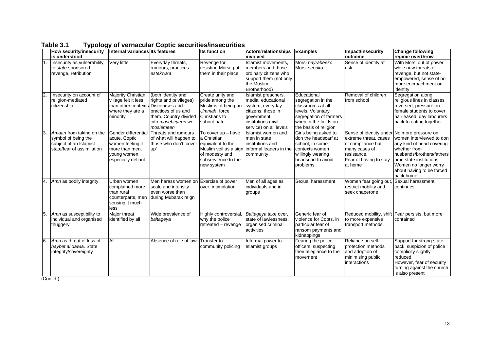|     | How security/insecurity<br>is understood                                                                | Internal variances Its features                                                                                  |                                                                                                                                 | <b>Its function</b>                                                                                                                    | <b>Actors/relationships</b><br>involved                                                                                                            | <b>Examples</b>                                                                                                                                         | Impact/insecurity<br>outcome                                                                                                               | <b>Change following</b><br>regime overthrow                                                                                                                                                                                |
|-----|---------------------------------------------------------------------------------------------------------|------------------------------------------------------------------------------------------------------------------|---------------------------------------------------------------------------------------------------------------------------------|----------------------------------------------------------------------------------------------------------------------------------------|----------------------------------------------------------------------------------------------------------------------------------------------------|---------------------------------------------------------------------------------------------------------------------------------------------------------|--------------------------------------------------------------------------------------------------------------------------------------------|----------------------------------------------------------------------------------------------------------------------------------------------------------------------------------------------------------------------------|
| I1. | Insecurity as vulnerability<br>to state-sponsored<br>revenge, retribution                               | Very little                                                                                                      | Everyday threats,<br>rumours, practices<br>estekwa'a                                                                            | Revenge for<br>resisting Morsi, put<br>them in their place                                                                             | Islamist movements,<br>members and those<br>ordinary citizens who<br>support them (not only<br>the Muslim<br>Brotherhood)                          | Morsi hayrabeeko<br>Morsi seedko                                                                                                                        | Sense of identity at<br>risk                                                                                                               | With Morsi out of power,<br>while new threats of<br>revenge, but not state-<br>empowered, sense of no<br>more encroachment on<br>identity                                                                                  |
| 2.  | Insecurity on account of<br>religion-mediated<br>citizenship                                            | Majority Christian<br>village felt it less<br>than other contexts Discourses and<br>where they are a<br>minority | (both identity and<br>rights and privileges)<br>practices of us and<br>them. Country divided<br>into maseheyeen we<br>moslemeen | Create unity and<br>pride among the<br>Muslims of being an<br>Ummah, force<br>Christians to<br>subordinate                             | Islamist preachers,<br>media, educational<br>system, everyday<br>citizens, those in<br>government<br>institutions (civil<br>service) on all levels | Educational<br>segregation in the<br>classrooms at all<br>levels. Voluntary<br>segregation of farmers<br>when in the fields on<br>the basis of religion | Removal of children<br>from school                                                                                                         | Segregation along<br>religious lines in classes<br>reversed, pressure on<br>female students to cover<br>hair eased, day labourers<br>back to eating together                                                               |
| 3.  | Amaan from taking on the<br>symbol of being the<br>subject of an Islamist<br>state/fear of assimilation | Gender differential<br>acute, Coptic<br>women feeling it<br>more than men,<br>young women<br>especially defiant  | Threats and rumours<br>of what will happen to<br>those who don't 'cover<br>up'                                                  | To cover up - have<br>a Christian<br>equivalent to the<br>Muslim veil as a sign<br>of modesty and<br>subservience to the<br>new system | <b>Islamist women and</b><br>men in state<br>linstitutions and<br>informal leaders in the<br>community                                             | Girls being asked to<br>don the headscarf at<br>school, in some<br>contexts women<br>willingly wearing<br>headscarf to avoid<br>problems                | Sense of identity under<br>extreme threat, cases<br>of compliance but<br>many cases of<br>resistance.<br>Fear of having to stay<br>at home | No more pressure on<br>women interviewed to don<br>any kind of head covering<br>whether from<br>husbands/brothers/fathers<br>lor in state institutions.<br>Women no longer worry<br>about having to be forced<br>back home |
| 4.  | Amn as bodily integrity                                                                                 | Urban women<br>complained more<br>than rural<br>counterparts, men<br>sensing it much<br>less                     | Men harass women on Exercise of power<br>scale and intensity<br>even worse than<br>during Mubarak reign                         | over, intimidation                                                                                                                     | Men of all ages as<br>individuals and in<br>groups                                                                                                 | Sexual harassment                                                                                                                                       | Women fear going out<br>restrict mobility and<br>seek chaperone                                                                            | Sexual harassment<br>continues                                                                                                                                                                                             |
| 5.  | Amn as susceptibility to<br>individual and organised<br>thuggery                                        | Major threat<br>identified by all                                                                                | Wide prevalence of<br>baltageya                                                                                                 | Highly controversial,<br>why the police<br>retreated - revenge                                                                         | Baltageya take over,<br>state of lawlessness.<br>organised criminal<br>activities                                                                  | Generic fear of<br>violence for Copts, in<br>particular fear of<br>ransom payments and<br>kidnappings                                                   | Reduced mobility, shift<br>to more expensive<br>transport methods                                                                          | Fear persists, but more<br>contained                                                                                                                                                                                       |
| 6.  | Amn as threat of loss of<br>haybet al dawla. State<br>integrity/sovereignty                             | All                                                                                                              | Absence of rule of law                                                                                                          | Transfer to<br>community policing                                                                                                      | Informal power to<br>Islamist groups                                                                                                               | Fearing the police<br>officers, suspecting<br>their allegiance to the<br>movement                                                                       | Reliance on self-<br>protection methods<br>and adoption of<br>minimising public<br>interactions                                            | Support for strong state<br>back, suspicion of police<br>complicity slightly<br>reduced.<br>However, fear of security<br>turning against the church<br>is also present                                                     |

#### **Table 3.1 Typology of vernacular Coptic securities/insecurities**

<span id="page-12-0"></span>(Cont'd.)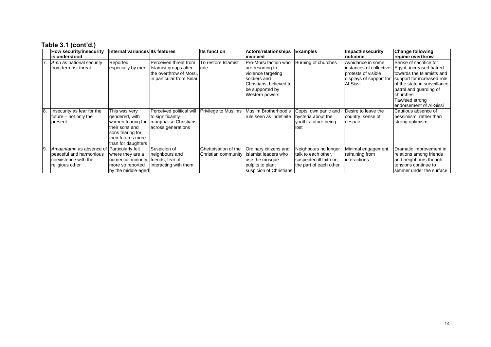#### **Table 3.1 (cont'd.)**

|    | <b>How security/insecurity</b><br>is understood                                               | Internal variances Its features                                                                                                        |                                                                                                       | <b>Its function</b>                         | <b>Actors/relationships</b><br>involved                                                                                                         | <b>Examples</b>                                                                                 | Impact/insecurity<br>loutcome                                                                              | <b>Change following</b><br>regime overthrow                                                                                                                                                                                       |
|----|-----------------------------------------------------------------------------------------------|----------------------------------------------------------------------------------------------------------------------------------------|-------------------------------------------------------------------------------------------------------|---------------------------------------------|-------------------------------------------------------------------------------------------------------------------------------------------------|-------------------------------------------------------------------------------------------------|------------------------------------------------------------------------------------------------------------|-----------------------------------------------------------------------------------------------------------------------------------------------------------------------------------------------------------------------------------|
| 7. | Amn as national security<br>from terrorist threat                                             | Reported<br>especially by men                                                                                                          | Perceived threat from<br>Islamist groups after<br>the overthrow of Morsi,<br>in particular from Sinai | To restore Islamist<br>rule                 | Pro-Morsi faction who<br>are resorting to<br>violence targeting<br>soldiers and<br>Christians, believed to<br>be supported by<br>Western powers | Burning of churches                                                                             | Avoidance in some<br>instances of collective<br>protests of visible<br>displays of support for<br>Al-Sissi | Sense of sacrifice for<br>Egypt, increased hatred<br>towards the Islamists and<br>support for increased role<br>of the state in surveillance,<br>patrol and quarding of<br>churches.<br>Tawfeed strong<br>endorsement of Al-Sissi |
| 8  | Insecurity as fear for the<br>future – not only the<br>present                                | This was very<br>gendered, with<br>women fearing for<br>their sons and<br>sons fearing for<br>their futures more<br>than for daughters | Perceived political will<br>to significantly<br>marginalise Christians<br>across generations          | <b>Privilege to Muslims</b>                 | Muslim Brotherhood's<br>rule seen as indefinite                                                                                                 | Copts' own panic and<br>hysteria about the<br>youth's future being<br>lost                      | Desire to leave the<br>country, sense of<br>despair                                                        | Cautious absence of<br>pessimism, rather than<br>strong optimism                                                                                                                                                                  |
| 9  | Amaan/amn as absence of<br>peaceful and harmonious<br>coexistence with the<br>religious other | Particularly felt<br>where they are a<br>numerical minority, friends, fear of<br>more so reported<br>by the middle-aged                | Suspicion of<br>neighbours and<br>interacting with them                                               | Ghettoisation of the<br>Christian community | Ordinary citizens and<br><b>Islamist leaders who</b><br>use the mosque<br>pulpits to plant<br>suspicion of Christians                           | Neighbours no longer<br>talk to each other,<br>suspected ill faith on<br>the part of each other | Minimal engagement,<br>refraining from<br>interactions                                                     | Dramatic improvement in<br>relations among friends<br>and neighbours though<br>tensions continue to<br>simmer under the surface                                                                                                   |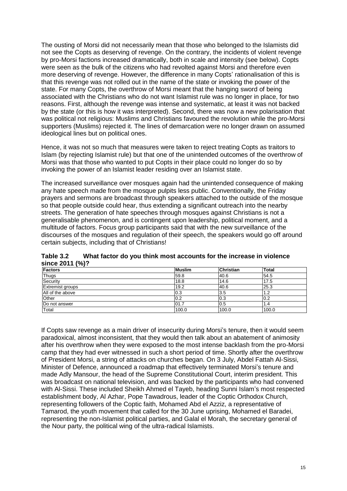The ousting of Morsi did not necessarily mean that those who belonged to the Islamists did not see the Copts as deserving of revenge. On the contrary, the incidents of violent revenge by pro-Morsi factions increased dramatically, both in scale and intensity (see below). Copts were seen as the bulk of the citizens who had revolted against Morsi and therefore even more deserving of revenge. However, the difference in many Copts' rationalisation of this is that this revenge was not rolled out in the name of the state or invoking the power of the state. For many Copts, the overthrow of Morsi meant that the hanging sword of being associated with the Christians who do not want Islamist rule was no longer in place, for two reasons. First, although the revenge was intense and systematic, at least it was not backed by the state (or this is how it was interpreted). Second, there was now a new polarisation that was political not religious: Muslims and Christians favoured the revolution while the pro-Morsi supporters (Muslims) rejected it. The lines of demarcation were no longer drawn on assumed ideological lines but on political ones.

Hence, it was not so much that measures were taken to reject treating Copts as traitors to Islam (by rejecting Islamist rule) but that one of the unintended outcomes of the overthrow of Morsi was that those who wanted to put Copts in their place could no longer do so by invoking the power of an Islamist leader residing over an Islamist state.

The increased surveillance over mosques again had the unintended consequence of making any hate speech made from the mosque pulpits less public. Conventionally, the Friday prayers and sermons are broadcast through speakers attached to the outside of the mosque so that people outside could hear, thus extending a significant outreach into the nearby streets. The generation of hate speeches through mosques against Christians is not a generalisable phenomenon, and is contingent upon leadership, political moment, and a multitude of factors. Focus group participants said that with the new surveillance of the discourses of the mosques and regulation of their speech, the speakers would go off around certain subjects, including that of Christians!

<span id="page-14-0"></span>

| Table 3.2       |  | What factor do you think most accounts for the increase in violence |
|-----------------|--|---------------------------------------------------------------------|
| since 2011 (%)? |  |                                                                     |

| <b>Factors</b>          | <b>Muslim</b> | <b>Christian</b> | <b>Total</b> |
|-------------------------|---------------|------------------|--------------|
| <b>Thugs</b>            | 59.8          | 40.6             | 54.5         |
| Security                | 18.8          | 14.6             | 17.5         |
| <b>Extremist groups</b> | 19.2          | 40.6             | 25.3         |
| All of the above        | 0.3           | 3.5              | ے. ا         |
| Other                   | 0.2           | 0.3              | 0.2          |
| Do not answer           | 01.7          | 0.5              | 1.4          |
| Total                   | 100.0         | 100.0            | 100.0        |

If Copts saw revenge as a main driver of insecurity during Morsi's tenure, then it would seem paradoxical, almost inconsistent, that they would then talk about an abatement of animosity after his overthrow when they were exposed to the most intense backlash from the pro-Morsi camp that they had ever witnessed in such a short period of time. Shortly after the overthrow of President Morsi, a string of attacks on churches began. On 3 July, Abdel Fattah Al-Sissi, Minister of Defence, announced a roadmap that effectively terminated Morsi's tenure and made Adly Mansour, the head of the Supreme Constitutional Court, interim president. This was broadcast on national television, and was backed by the participants who had convened with Al-Sissi. These included Sheikh Ahmed el Tayeb, heading Sunni Islam's most respected establishment body, Al Azhar, Pope Tawadrous, leader of the Coptic Orthodox Church, representing followers of the Coptic faith, Mohamed Abd el Azziz, a representative of Tamarod, the youth movement that called for the 30 June uprising, Mohamed el Baradei, representing the non-Islamist political parties, and Galal el Morah, the secretary general of the Nour party, the political wing of the ultra-radical Islamists.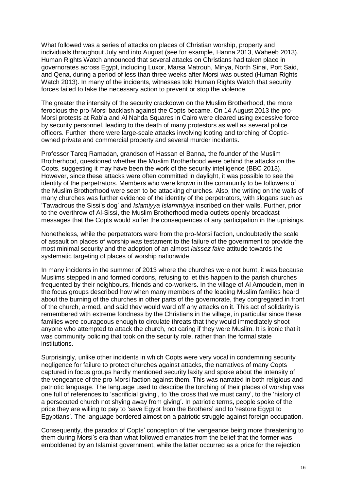What followed was a series of attacks on places of Christian worship, property and individuals throughout July and into August (see for example, Hanna 2013, Waheeb 2013). Human Rights Watch announced that several attacks on Christians had taken place in governorates across Egypt, including Luxor, Marsa Matrouh, Minya, North Sinai, Port Said, and Qena, during a period of less than three weeks after Morsi was ousted (Human Rights Watch 2013). In many of the incidents, witnesses told Human Rights Watch that security forces failed to take the necessary action to prevent or stop the violence.

The greater the intensity of the security crackdown on the Muslim Brotherhood, the more ferocious the pro-Morsi backlash against the Copts became. On 14 August 2013 the pro-Morsi protests at Rab'a and Al Nahda Squares in Cairo were cleared using excessive force by security personnel, leading to the death of many protestors as well as several police officers. Further, there were large-scale attacks involving looting and torching of Copticowned private and commercial property and several murder incidents.

Professor Tareq Ramadan, grandson of Hassan el Banna, the founder of the Muslim Brotherhood, questioned whether the Muslim Brotherhood were behind the attacks on the Copts, suggesting it may have been the work of the security intelligence (BBC 2013). However, since these attacks were often committed in daylight, it was possible to see the identity of the perpetrators. Members who were known in the community to be followers of the Muslim Brotherhood were seen to be attacking churches. Also, the writing on the walls of many churches was further evidence of the identity of the perpetrators, with slogans such as 'Tawadrous the Sissi's dog' and *Islamiyya Islammiyya* inscribed on their walls. Further, prior to the overthrow of Al-Sissi, the Muslim Brotherhood media outlets openly broadcast messages that the Copts would suffer the consequences of any participation in the uprisings.

Nonetheless, while the perpetrators were from the pro-Morsi faction, undoubtedly the scale of assault on places of worship was testament to the failure of the government to provide the most minimal security and the adoption of an almost *laissez faire* attitude towards the systematic targeting of places of worship nationwide.

In many incidents in the summer of 2013 where the churches were not burnt, it was because Muslims stepped in and formed cordons, refusing to let this happen to the parish churches frequented by their neighbours, friends and co-workers. In the village of Al Amoudein, men in the focus groups described how when many members of the leading Muslim families heard about the burning of the churches in other parts of the governorate, they congregated in front of the church, armed, and said they would ward off any attacks on it. This act of solidarity is remembered with extreme fondness by the Christians in the village, in particular since these families were courageous enough to circulate threats that they would immediately shoot anyone who attempted to attack the church, not caring if they were Muslim. It is ironic that it was community policing that took on the security role, rather than the formal state institutions.

Surprisingly, unlike other incidents in which Copts were very vocal in condemning security negligence for failure to protect churches against attacks, the narratives of many Copts captured in focus groups hardly mentioned security laxity and spoke about the intensity of the vengeance of the pro-Morsi faction against them. This was narrated in both religious and patriotic language. The language used to describe the torching of their places of worship was one full of references to 'sacrificial giving', to 'the cross that we must carry', to the 'history of a persecuted church not shying away from giving'. In patriotic terms, people spoke of the price they are willing to pay to 'save Egypt from the Brothers' and to 'restore Egypt to Egyptians'. The language bordered almost on a patriotic struggle against foreign occupation.

Consequently, the paradox of Copts' conception of the vengeance being more threatening to them during Morsi's era than what followed emanates from the belief that the former was emboldened by an Islamist government, while the latter occurred as a price for the rejection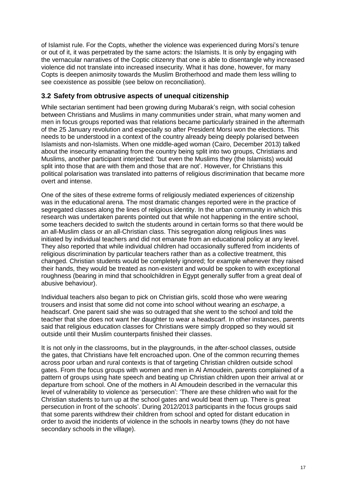of Islamist rule. For the Copts, whether the violence was experienced during Morsi's tenure or out of it, it was perpetrated by the same actors: the Islamists. It is only by engaging with the vernacular narratives of the Coptic citizenry that one is able to disentangle why increased violence did not translate into increased insecurity. What it has done, however, for many Copts is deepen animosity towards the Muslim Brotherhood and made them less willing to see coexistence as possible (see below on reconciliation).

### <span id="page-16-0"></span>**3.2 Safety from obtrusive aspects of unequal citizenship**

While sectarian sentiment had been growing during Mubarak's reign, with social cohesion between Christians and Muslims in many communities under strain, what many women and men in focus groups reported was that relations became particularly strained in the aftermath of the 25 January revolution and especially so after President Morsi won the elections. This needs to be understood in a context of the country already being deeply polarised between Islamists and non-Islamists. When one middle-aged woman (Cairo, December 2013) talked about the insecurity emanating from the country being split into two groups, Christians and Muslims, another participant interjected: 'but even the Muslims they (the Islamists) would split into those that are with them and those that are not'. However, for Christians this political polarisation was translated into patterns of religious discrimination that became more overt and intense.

One of the sites of these extreme forms of religiously mediated experiences of citizenship was in the educational arena. The most dramatic changes reported were in the practice of segregated classes along the lines of religious identity. In the urban community in which this research was undertaken parents pointed out that while not happening in the entire school, some teachers decided to switch the students around in certain forms so that there would be an all-Muslim class or an all-Christian class. This segregation along religious lines was initiated by individual teachers and did not emanate from an educational policy at any level. They also reported that while individual children had occasionally suffered from incidents of religious discrimination by particular teachers rather than as a collective treatment, this changed. Christian students would be completely ignored; for example whenever they raised their hands, they would be treated as non-existent and would be spoken to with exceptional roughness (bearing in mind that schoolchildren in Egypt generally suffer from a great deal of abusive behaviour).

Individual teachers also began to pick on Christian girls, scold those who were wearing trousers and insist that some did not come into school without wearing an *escharpe*, a headscarf. One parent said she was so outraged that she went to the school and told the teacher that she does not want her daughter to wear a headscarf. In other instances, parents said that religious education classes for Christians were simply dropped so they would sit outside until their Muslim counterparts finished their classes.

It is not only in the classrooms, but in the playgrounds, in the after-school classes, outside the gates, that Christians have felt encroached upon. One of the common recurring themes across poor urban and rural contexts is that of targeting Christian children outside school gates. From the focus groups with women and men in Al Amoudein, parents complained of a pattern of groups using hate speech and beating up Christian children upon their arrival at or departure from school. One of the mothers in Al Amoudein described in the vernacular this level of vulnerability to violence as 'persecution': 'There are these children who wait for the Christian students to turn up at the school gates and would beat them up. There is great persecution in front of the schools'. During 2012/2013 participants in the focus groups said that some parents withdrew their children from school and opted for distant education in order to avoid the incidents of violence in the schools in nearby towns (they do not have secondary schools in the village).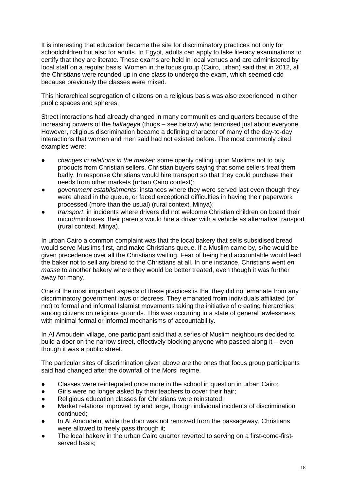It is interesting that education became the site for discriminatory practices not only for schoolchildren but also for adults. In Egypt, adults can apply to take literacy examinations to certify that they are literate. These exams are held in local venues and are administered by local staff on a regular basis. Women in the focus group (Cairo, urban) said that in 2012, all the Christians were rounded up in one class to undergo the exam, which seemed odd because previously the classes were mixed.

This hierarchical segregation of citizens on a religious basis was also experienced in other public spaces and spheres.

Street interactions had already changed in many communities and quarters because of the increasing powers of the *baltageya* (thugs – see below) who terrorised just about everyone. However, religious discrimination became a defining character of many of the day-to-day interactions that women and men said had not existed before. The most commonly cited examples were:

- *changes in relations in the market*: some openly calling upon Muslims not to buy products from Christian sellers, Christian buyers saying that some sellers treat them badly. In response Christians would hire transport so that they could purchase their needs from other markets (urban Cairo context);
- government establishments: instances where they were served last even though they were ahead in the queue, or faced exceptional difficulties in having their paperwork processed (more than the usual) (rural context, Minya);
- *transport*: in incidents where drivers did not welcome Christian children on board their micro/minibuses, their parents would hire a driver with a vehicle as alternative transport (rural context, Minya).

In urban Cairo a common complaint was that the local bakery that sells subsidised bread would serve Muslims first, and make Christians queue. If a Muslim came by, s/he would be given precedence over all the Christians waiting. Fear of being held accountable would lead the baker not to sell any bread to the Christians at all. In one instance, Christians went *en masse* to another bakery where they would be better treated, even though it was further away for many.

One of the most important aspects of these practices is that they did not emanate from any discriminatory government laws or decrees. They emanated froim individuals affiliated (or not) to formal and informal Islamist movements taking the initiative of creating hierarchies among citizens on religious grounds. This was occurring in a state of general lawlessness with minimal formal or informal mechanisms of accountability.

In Al Amoudein village, one participant said that a series of Muslim neighbours decided to build a door on the narrow street, effectively blocking anyone who passed along it – even though it was a public street.

The particular sites of discrimination given above are the ones that focus group participants said had changed after the downfall of the Morsi regime.

- Classes were reintegrated once more in the school in question in urban Cairo;
- Girls were no longer asked by their teachers to cover their hair;
- Religious education classes for Christians were reinstated:
- Market relations improved by and large, though individual incidents of discrimination continued;
- In AI Amoudein, while the door was not removed from the passageway, Christians were allowed to freely pass through it;
- The local bakery in the urban Cairo quarter reverted to serving on a first-come-firstserved basis;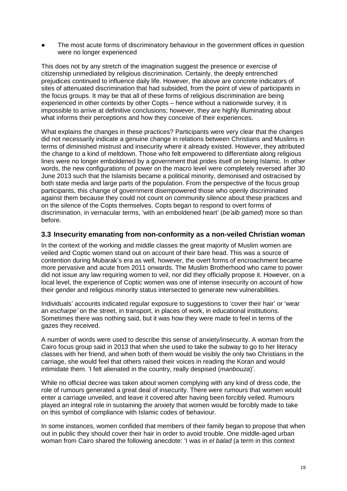The most acute forms of discriminatory behaviour in the government offices in question were no longer experienced

This does not by any stretch of the imagination suggest the presence or exercise of citizenship unmediated by religious discrimination. Certainly, the deeply entrenched prejudices continued to influence daily life. However, the above are concrete indicators of sites of attenuated discrimination that had subsided, from the point of view of participants in the focus groups. It may be that all of these forms of religious discrimination are being experienced in other contexts by other Copts – hence without a nationwide survey, it is impossible to arrive at definitive conclusions; however, they are highly illuminating about what informs their perceptions and how they conceive of their experiences.

What explains the changes in these practices? Participants were very clear that the changes did not necessarily indicate a genuine change in relations between Christians and Muslims in terms of diminished mistrust and insecurity where it already existed. However, they attributed the change to a kind of meltdown. Those who felt empowered to differentiate along religious lines were no longer emboldened by a government that prides itself on being Islamic. In other words, the new configurations of power on the macro level were completely reversed after 30 June 2013 such that the Islamists became a political minority, demonised and ostracised by both state media and large parts of the population. From the perspective of the focus group participants, this change of government disempowered those who openly discriminated against them because they could not count on community silence about these practices and on the silence of the Copts themselves. Copts began to respond to overt forms of discrimination, in vernacular terms, 'with an emboldened heart' (*be'alb gamed*) more so than before.

#### <span id="page-18-0"></span>**3.3 Insecurity emanating from non-conformity as a non-veiled Christian woman**

In the context of the working and middle classes the great majority of Muslim women are veiled and Coptic women stand out on account of their bare head. This was a source of contention during Mubarak's era as well, however, the overt forms of encroachment became more pervasive and acute from 2011 onwards. The Muslim Brotherhood who came to power did not issue any law requiring women to veil, nor did they officially propose it. However, on a local level, the experience of Coptic women was one of intense insecurity on account of how their gender and religious minority status intersected to generate new vulnerabilities.

Individuals' accounts indicated regular exposure to suggestions to 'cover their hair' or 'wear an *escharpe'* on the street, in transport, in places of work, in educational institutions. Sometimes there was nothing said, but it was how they were made to feel in terms of the gazes they received.

A number of words were used to describe this sense of anxiety/insecurity. A woman from the Cairo focus group said in 2013 that when she used to take the subway to go to her literacy classes with her friend, and when both of them would be visibly the only two Christians in the carriage, she would feel that others raised their voices in reading the Koran and would intimidate them. 'I felt alienated in the country, really despised (*manbouza*)'.

While no official decree was taken about women complying with any kind of dress code, the role of rumours generated a great deal of insecurity. There were rumours that women would enter a carriage unveiled, and leave it covered after having been forcibly veiled. Rumours played an integral role in sustaining the anxiety that women would be forcibly made to take on this symbol of compliance with Islamic codes of behaviour.

In some instances, women confided that members of their family began to propose that when out in public they should cover their hair in order to avoid trouble. One middle-aged urban woman from Cairo shared the following anecdote: 'I was in *el balad* (a term in this context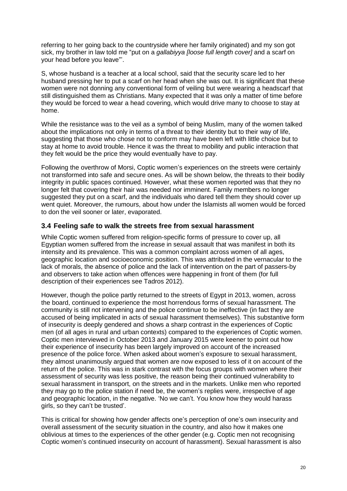referring to her going back to the countryside where her family originated) and my son got sick, my brother in law told me "put on a *gallabiyya [loose full length cover]* and a scarf on your head before you leave"'.

S, whose husband is a teacher at a local school, said that the security scare led to her husband pressing her to put a scarf on her head when she was out. It is significant that these women were not donning any conventional form of veiling but were wearing a headscarf that still distinguished them as Christians. Many expected that it was only a matter of time before they would be forced to wear a head covering, which would drive many to choose to stay at home.

While the resistance was to the veil as a symbol of being Muslim, many of the women talked about the implications not only in terms of a threat to their identity but to their way of life, suggesting that those who chose not to conform may have been left with little choice but to stay at home to avoid trouble. Hence it was the threat to mobility and public interaction that they felt would be the price they would eventually have to pay.

Following the overthrow of Morsi, Coptic women's experiences on the streets were certainly not transformed into safe and secure ones. As will be shown below, the threats to their bodily integrity in public spaces continued. However, what these women reported was that they no longer felt that covering their hair was needed nor imminent. Family members no longer suggested they put on a scarf, and the individuals who dared tell them they should cover up went quiet. Moreover, the rumours, about how under the Islamists all women would be forced to don the veil sooner or later, evaporated.

#### <span id="page-19-0"></span>**3.4 Feeling safe to walk the streets free from sexual harassment**

While Coptic women suffered from religion-specific forms of pressure to cover up, all Egyptian women suffered from the increase in sexual assault that was manifest in both its intensity and its prevalence. This was a common complaint across women of all ages, geographic location and socioeconomic position. This was attributed in the vernacular to the lack of morals, the absence of police and the lack of intervention on the part of passers-by and observers to take action when offences were happening in front of them (for full description of their experiences see Tadros 2012).

However, though the police partly returned to the streets of Egypt in 2013, women, across the board, continued to experience the most horrendous forms of sexual harassment. The community is still not intervening and the police continue to be ineffective (in fact they are accused of being implicated in acts of sexual harassment themselves). This substantive form of insecurity is deeply gendered and shows a sharp contrast in the experiences of Coptic men (of all ages in rural and urban contexts) compared to the experiences of Coptic women. Coptic men interviewed in October 2013 and January 2015 were keener to point out how their experience of insecurity has been largely improved on account of the increased presence of the police force. When asked about women's exposure to sexual harassment, they almost unanimously argued that women are now exposed to less of it on account of the return of the police. This was in stark contrast with the focus groups with women where their assessment of security was less positive, the reason being their continued vulnerability to sexual harassment in transport, on the streets and in the markets. Unlike men who reported they may go to the police station if need be, the women's replies were, irrespective of age and geographic location, in the negative. 'No we can't. You know how they would harass girls, so they can't be trusted'.

This is critical for showing how gender affects one's perception of one's own insecurity and overall assessment of the security situation in the country, and also how it makes one oblivious at times to the experiences of the other gender (e.g. Coptic men not recognising Coptic women's continued insecurity on account of harassment). Sexual harassment is also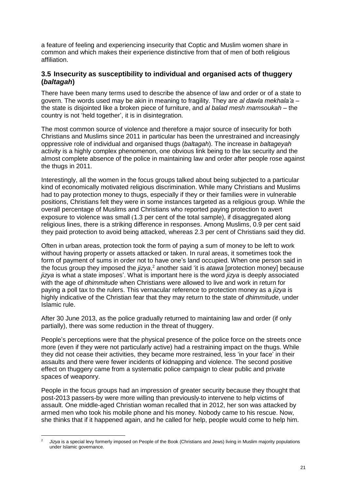a feature of feeling and experiencing insecurity that Coptic and Muslim women share in common and which makes their experience distinctive from that of men of both religious affiliation.

#### <span id="page-20-0"></span>**3.5 Insecurity as susceptibility to individual and organised acts of thuggery (***baltagah***)**

There have been many terms used to describe the absence of law and order or of a state to govern. The words used may be akin in meaning to fragility. They are *al dawla mekhala'a* – the state is disjointed like a broken piece of furniture, and *al balad mesh mamsoukah* – the country is not 'held together', it is in disintegration.

The most common source of violence and therefore a major source of insecurity for both Christians and Muslims since 2011 in particular has been the unrestrained and increasingly oppressive role of individual and organised thugs (*baltagah*). The increase in *baltageyah* activity is a highly complex phenomenon, one obvious link being to the lax security and the almost complete absence of the police in maintaining law and order after people rose against the thugs in 2011.

Interestingly, all the women in the focus groups talked about being subjected to a particular kind of economically motivated religious discrimination. While many Christians and Muslims had to pay protection money to thugs, especially if they or their families were in vulnerable positions, Christians felt they were in some instances targeted as a religious group. While the overall percentage of Muslims and Christians who reported paying protection to avert exposure to violence was small (1.3 per cent of the total sample), if disaggregated along religious lines, there is a striking difference in responses. Among Muslims, 0.9 per cent said they paid protection to avoid being attacked, whereas 2.3 per cent of Christians said they did.

Often in urban areas, protection took the form of paying a sum of money to be left to work without having property or assets attacked or taken. In rural areas, it sometimes took the form of payment of sums in order not to have one's land occupied. When one person said in the focus group they imposed the *jizya*, <sup>2</sup> another said 'it is *atawa* [protection money] because *jizya* is what a state imposes'. What is important here is the word *jizya* is deeply associated with the age of *dhimmitude* when Christians were allowed to live and work in return for paying a poll tax to the rulers. This vernacular reference to protection money as a *jizya* is highly indicative of the Christian fear that they may return to the state of *dhimmitude*, under Islamic rule.

After 30 June 2013, as the police gradually returned to maintaining law and order (if only partially), there was some reduction in the threat of thuggery.

People's perceptions were that the physical presence of the police force on the streets once more (even if they were not particularly active) had a restraining impact on the thugs. While they did not cease their activities, they became more restrained, less 'in your face' in their assaults and there were fewer incidents of kidnapping and violence. The second positive effect on thuggery came from a systematic police campaign to clear public and private spaces of weaponry.

People in the focus groups had an impression of greater security because they thought that post-2013 passers-by were more willing than previously to intervene to help victims of assault. One middle-aged Christian woman recalled that in 2012, her son was attacked by armed men who took his mobile phone and his money. Nobody came to his rescue. Now, she thinks that if it happened again, and he called for help, people would come to help him.

<sup>1</sup> Jizya is a special levy formerly imposed on People of the Book (Christians and Jews) living in Muslim majority populations under Islamic governance.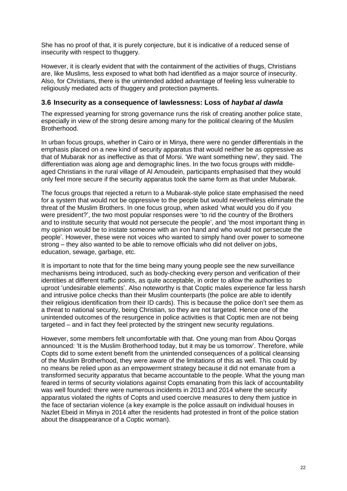She has no proof of that, it is purely conjecture, but it is indicative of a reduced sense of insecurity with respect to thuggery.

However, it is clearly evident that with the containment of the activities of thugs, Christians are, like Muslims, less exposed to what both had identified as a major source of insecurity. Also, for Christians, there is the unintended added advantage of feeling less vulnerable to religiously mediated acts of thuggery and protection payments.

#### <span id="page-21-0"></span>**3.6 Insecurity as a consequence of lawlessness: Loss of** *haybat al dawla*

The expressed yearning for strong governance runs the risk of creating another police state, especially in view of the strong desire among many for the political clearing of the Muslim Brotherhood.

In urban focus groups, whether in Cairo or in Minya, there were no gender differentials in the emphasis placed on a new kind of security apparatus that would neither be as oppressive as that of Mubarak nor as ineffective as that of Morsi. 'We want something new', they said. The differentiation was along age and demographic lines. In the two focus groups with middleaged Christians in the rural village of Al Amoudein, participants emphasised that they would only feel more secure if the security apparatus took the same form as that under Mubarak.

The focus groups that rejected a return to a Mubarak-style police state emphasised the need for a system that would not be oppressive to the people but would nevertheless eliminate the threat of the Muslim Brothers. In one focus group, when asked 'what would you do if you were president?', the two most popular responses were 'to rid the country of the Brothers and to institute security that would not persecute the people', and 'the most important thing in my opinion would be to instate someone with an iron hand and who would not persecute the people'. However, these were not voices who wanted to simply hand over power to someone strong – they also wanted to be able to remove officials who did not deliver on jobs, education, sewage, garbage, etc.

It is important to note that for the time being many young people see the new surveillance mechanisms being introduced, such as body-checking every person and verification of their identities at different traffic points, as quite acceptable, in order to allow the authorities to uproot 'undesirable elements'. Also noteworthy is that Coptic males experience far less harsh and intrusive police checks than their Muslim counterparts (the police are able to identify their religious identification from their ID cards). This is because the police don't see them as a threat to national security, being Christian, so they are not targeted. Hence one of the unintended outcomes of the resurgence in police activities is that Coptic men are not being targeted – and in fact they feel protected by the stringent new security regulations.

However, some members felt uncomfortable with that. One young man from Abou Qorqas announced: 'It is the Muslim Brotherhood today, but it may be us tomorrow'. Therefore, while Copts did to some extent benefit from the unintended consequences of a political cleansing of the Muslim Brotherhood, they were aware of the limitations of this as well. This could by no means be relied upon as an empowerment strategy because it did not emanate from a transformed security apparatus that became accountable to the people. What the young man feared in terms of security violations against Copts emanating from this lack of accountability was well founded: there were numerous incidents in 2013 and 2014 where the security apparatus violated the rights of Copts and used coercive measures to deny them justice in the face of sectarian violence (a key example is the police assault on individual houses in Nazlet Ebeid in Minya in 2014 after the residents had protested in front of the police station about the disappearance of a Coptic woman).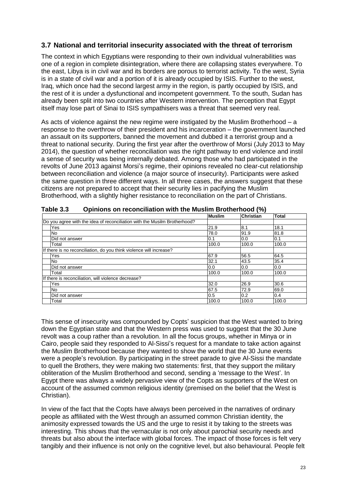#### <span id="page-22-0"></span>**3.7 National and territorial insecurity associated with the threat of terrorism**

The context in which Egyptians were responding to their own individual vulnerabilities was one of a region in complete disintegration, where there are collapsing states everywhere. To the east, Libya is in civil war and its borders are porous to terrorist activity. To the west, Syria is in a state of civil war and a portion of it is already occupied by ISIS. Further to the west, Iraq, which once had the second largest army in the region, is partly occupied by ISIS, and the rest of it is under a dysfunctional and incompetent government. To the south, Sudan has already been split into two countries after Western intervention. The perception that Egypt itself may lose part of Sinai to ISIS sympathisers was a threat that seemed very real.

As acts of violence against the new regime were instigated by the Muslim Brotherhood – a response to the overthrow of their president and his incarceration – the government launched an assault on its supporters, banned the movement and dubbed it a terrorist group and a threat to national security. During the first year after the overthrow of Morsi (July 2013 to May 2014), the question of whether reconciliation was the right pathway to end violence and instil a sense of security was being internally debated. Among those who had participated in the revolts of June 2013 against Morsi's regime, their opinions revealed no clear-cut relationship between reconciliation and violence (a major source of insecurity). Participants were asked the same question in three different ways. In all three cases, the answers suggest that these citizens are not prepared to accept that their security lies in pacifying the Muslim Brotherhood, with a slightly higher resistance to reconciliation on the part of Christians.

|                                                                           | <b>Muslim</b> | <b>Christian</b> | <b>Total</b> |
|---------------------------------------------------------------------------|---------------|------------------|--------------|
| Do you agree with the idea of reconciliation with the Musilm Brotherhood? |               |                  |              |
| Yes                                                                       | 21.9          | 8.1              | 18.1         |
| No                                                                        | 78.0          | 91.9             | 81.8         |
| Did not answer                                                            | 0.1           | 0.0              | 0.1          |
| Total                                                                     | 100.0         | 100.0            | 100.0        |
| If there is no reconciliation, do you think violence will increase?       |               |                  |              |
| Yes                                                                       | 67.9          | 56.5             | 64.5         |
| No                                                                        | 32.1          | 43.5             | 35.4         |
| Did not answer                                                            | 0.0           | 0.0              | 0.0          |
| Total                                                                     | 100.0         | 100.0            | 100.0        |
| If there is reconciliation, will violence decrease?                       |               |                  |              |
| Yes                                                                       | 32.0          | 26.9             | 30.6         |
| No                                                                        | 67.5          | 72.9             | 69.0         |
| Did not answer                                                            | 0.5           | 0.2              | 0.4          |
| Total                                                                     | 100.0         | 100.0            | 100.0        |

<span id="page-22-1"></span>**Table 3.3 Opinions on reconciliation with the Muslim Brotherhood (%)**

This sense of insecurity was compounded by Copts' suspicion that the West wanted to bring down the Egyptian state and that the Western press was used to suggest that the 30 June revolt was a coup rather than a revolution. In all the focus groups, whether in Minya or in Cairo, people said they responded to Al-Sissi's request for a mandate to take action against the Muslim Brotherhood because they wanted to show the world that the 30 June events were a people's revolution. By participating in the street parade to give Al-Sissi the mandate to quell the Brothers, they were making two statements: first, that they support the military obliteration of the Muslim Brotherhood and second, sending a 'message to the West'. In Egypt there was always a widely pervasive view of the Copts as supporters of the West on account of the assumed common religious identity (premised on the belief that the West is Christian).

In view of the fact that the Copts have always been perceived in the narratives of ordinary people as affiliated with the West through an assumed common Christian identity, the animosity expressed towards the US and the urge to resist it by taking to the streets was interesting. This shows that the vernacular is not only about parochial security needs and threats but also about the interface with global forces. The impact of those forces is felt very tangibly and their influence is not only on the cognitive level, but also behavioural. People felt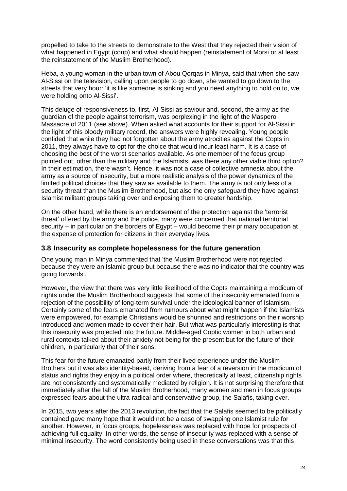propelled to take to the streets to demonstrate to the West that they rejected their vision of what happened in Egypt (coup) and what should happen (reinstatement of Morsi or at least the reinstatement of the Muslim Brotherhood).

Heba, a young woman in the urban town of Abou Qorqas in Minya, said that when she saw Al-Sissi on the television, calling upon people to go down, she wanted to go down to the streets that very hour: 'it is like someone is sinking and you need anything to hold on to, we were holding onto Al-Sissi'.

This deluge of responsiveness to, first, Al-Sissi as saviour and, second, the army as the guardian of the people against terrorism, was perplexing in the light of the Maspero Massacre of 2011 (see above). When asked what accounts for their support for Al-Sissi in the light of this bloody military record, the answers were highly revealing. Young people confided that while they had not forgotten about the army atrocities against the Copts in 2011, they always have to opt for the choice that would incur least harm. It is a case of choosing the best of the worst scenarios available. As one member of the focus group pointed out, other than the military and the Islamists, was there any other viable third option? In their estimation, there wasn't. Hence, it was not a case of collective amnesia about the army as a source of insecurity, but a more realistic analysis of the power dynamics of the limited political choices that they saw as available to them. The army is not only less of a security threat than the Muslim Brotherhood, but also the only safeguard they have against Islamist militant groups taking over and exposing them to greater hardship.

On the other hand, while there is an endorsement of the protection against the 'terrorist threat' offered by the army and the police, many were concerned that national territorial security – in particular on the borders of Egypt – would become their primary occupation at the expense of protection for citizens in their everyday lives.

#### <span id="page-23-0"></span>**3.8 Insecurity as complete hopelessness for the future generation**

One young man in Minya commented that 'the Muslim Brotherhood were not rejected because they were an Islamic group but because there was no indicator that the country was going forwards'.

However, the view that there was very little likelihood of the Copts maintaining a modicum of rights under the Muslim Brotherhood suggests that some of the insecurity emanated from a rejection of the possibility of long-term survival under the ideological banner of Islamism. Certainly some of the fears emanated from rumours about what might happen if the Islamists were empowered, for example Christians would be shunned and restrictions on their worship introduced and women made to cover their hair. But what was particularly interesting is that this insecurity was projected into the future. Middle-aged Coptic women in both urban and rural contexts talked about their anxiety not being for the present but for the future of their children, in particularly that of their sons.

This fear for the future emanated partly from their lived experience under the Muslim Brothers but it was also identity-based, deriving from a fear of a reversion in the modicum of status and rights they enjoy in a political order where, theoretically at least, citizenship rights are not consistently and systematically mediated by religion. It is not surprising therefore that immediately after the fall of the Muslim Brotherhood, many women and men in focus groups expressed fears about the ultra-radical and conservative group, the Salafis, taking over.

In 2015, two years after the 2013 revolution, the fact that the Salafis seemed to be politically contained gave many hope that it would not be a case of swapping one Islamist rule for another. However, in focus groups, hopelessness was replaced with hope for prospects of achieving full equality. In other words, the sense of insecurity was replaced with a sense of minimal insecurity. The word consistently being used in these conversations was that this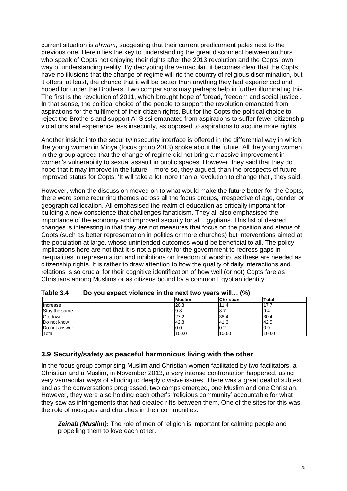current situation is *ahwam*, suggesting that their current predicament pales next to the previous one. Herein lies the key to understanding the great disconnect between authors who speak of Copts not enjoying their rights after the 2013 revolution and the Copts' own way of understanding reality. By decrypting the vernacular, it becomes clear that the Copts have no illusions that the change of regime will rid the country of religious discrimination, but it offers, at least, the chance that it will be better than anything they had experienced and hoped for under the Brothers. Two comparisons may perhaps help in further illuminating this. The first is the revolution of 2011, which brought hope of 'bread, freedom and social justice'. In that sense, the political choice of the people to support the revolution emanated from aspirations for the fulfilment of their citizen rights. But for the Copts the political choice to reject the Brothers and support Al-Sissi emanated from aspirations to suffer fewer citizenship violations and experience less insecurity, as opposed to aspirations to acquire more rights.

Another insight into the security/insecurity interface is offered in the differential way in which the young women in Minya (focus group 2013) spoke about the future. All the young women in the group agreed that the change of regime did not bring a massive improvement in women's vulnerability to sexual assault in public spaces. However, they said that they do hope that it may improve in the future – more so, they argued, than the prospects of future improved status for Copts: 'It will take a lot more than a revolution to change that', they said.

However, when the discussion moved on to what would make the future better for the Copts, there were some recurring themes across all the focus groups, irrespective of age, gender or geographical location. All emphasised the realm of education as critically important for building a new conscience that challenges fanaticism. They all also emphasised the importance of the economy and improved security for all Egyptians. This list of desired changes is interesting in that they are not measures that focus on the position and status of Copts (such as better representation in politics or more churches) but interventions aimed at the population at large, whose unintended outcomes would be beneficial to all. The policy implications here are not that it is not a priority for the government to redress gaps in inequalities in representation and inhibitions on freedom of worship, as these are needed as citizenship rights. It is rather to draw attention to how the quality of daily interactions and relations is so crucial for their cognitive identification of how well (or not) Copts fare as Christians among Muslims or as citizens bound by a common Egyptian identity.

|               | --            |                  |       |  |  |
|---------------|---------------|------------------|-------|--|--|
|               | <b>Muslim</b> | <b>Christian</b> | Total |  |  |
| Increase      | 20.3          | 11.4             | 17.7  |  |  |
| Stay the same | 9.8           | 18.1             | 19.4  |  |  |
| Go down       | 27.2          | 38.4             | 30.4  |  |  |
| Do not know   | 42.8          | 41.3             | 42.5  |  |  |
| Do not answer | 0.0           | 0.2              | 10.0  |  |  |
| Total         | 100.0         | 100.0            | 100.0 |  |  |

<span id="page-24-1"></span>**Table 3.4 Do you expect violence in the next two years will… (%)**

#### <span id="page-24-0"></span>**3.9 Security/safety as peaceful harmonious living with the other**

In the focus group comprising Muslim and Christian women facilitated by two facilitators, a Christian and a Muslim, in November 2013, a very intense confrontation happened, using very vernacular ways of alluding to deeply divisive issues. There was a great deal of subtext, and as the conversations progressed, two camps emerged, one Muslim and one Christian. However, they were also holding each other's 'religious community' accountable for what they saw as infringements that had created rifts between them. One of the sites for this was the role of mosques and churches in their communities.

*Zeinab (Muslim):* The role of men of religion is important for calming people and propelling them to love each other.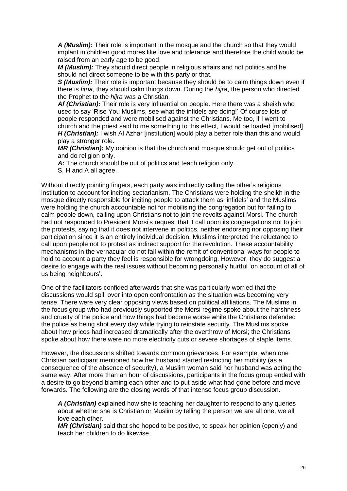*A (Muslim):* Their role is important in the mosque and the church so that they would implant in children good mores like love and tolerance and therefore the child would be raised from an early age to be good.

*M (Muslim):* They should direct people in religious affairs and not politics and he should not direct someone to be with this party or that.

*S (Muslim):* Their role is important because they should be to calm things down even if there is *fitna*, they should calm things down. During the *hijra*, the person who directed the Prophet to the *hijra* was a Christian.

*Af (Christian):* Their role is very influential on people. Here there was a sheikh who used to say 'Rise You Muslims, see what the infidels are doing!' Of course lots of people responded and were mobilised against the Christians. Me too, if I went to church and the priest said to me something to this effect, I would be loaded [mobilised]. *H* (Christian): I wish AI Azhar [institution] would play a better role than this and would play a stronger role.

*MR (Christian):* My opinion is that the church and mosque should get out of politics and do religion only.

A: The church should be out of politics and teach religion only.

S, H and A all agree.

Without directly pointing fingers, each party was indirectly calling the other's religious institution to account for inciting sectarianism. The Christians were holding the sheikh in the mosque directly responsible for inciting people to attack them as 'infidels' and the Muslims were holding the church accountable not for mobilising the congregation but for failing to calm people down, calling upon Christians not to join the revolts against Morsi. The church had not responded to President Morsi's request that it call upon its congregations not to join the protests, saying that it does not intervene in politics, neither endorsing nor opposing their participation since it is an entirely individual decision. Muslims interpreted the reluctance to call upon people not to protest as indirect support for the revolution. These accountability mechanisms in the vernacular do not fall within the remit of conventional ways for people to hold to account a party they feel is responsible for wrongdoing. However, they do suggest a desire to engage with the real issues without becoming personally hurtful 'on account of all of us being neighbours'.

One of the facilitators confided afterwards that she was particularly worried that the discussions would spill over into open confrontation as the situation was becoming very tense. There were very clear opposing views based on political affiliations. The Muslims in the focus group who had previously supported the Morsi regime spoke about the harshness and cruelty of the police and how things had become worse while the Christians defended the police as being shot every day while trying to reinstate security. The Muslims spoke about how prices had increased dramatically after the overthrow of Morsi; the Christians spoke about how there were no more electricity cuts or severe shortages of staple items.

However, the discussions shifted towards common grievances. For example, when one Christian participant mentioned how her husband started restricting her mobility (as a consequence of the absence of security), a Muslim woman said her husband was acting the same way. After more than an hour of discussions, participants in the focus group ended with a desire to go beyond blaming each other and to put aside what had gone before and move forwards. The following are the closing words of that intense focus group discussion.

*A (Christian)* explained how she is teaching her daughter to respond to any queries about whether she is Christian or Muslim by telling the person we are all one, we all love each other.

*MR (Christian)* said that she hoped to be positive, to speak her opinion (openly) and teach her children to do likewise.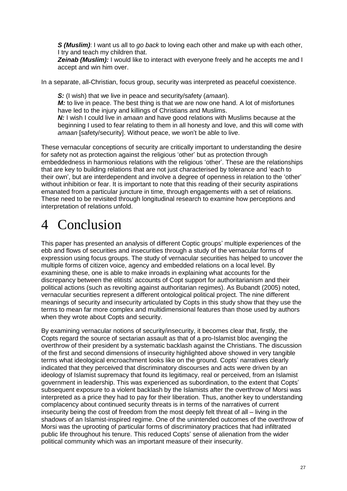*S (Muslim)*: I want us all to *go back* to loving each other and make up with each other, I try and teach my children that.

**Zeinab (Muslim):** I would like to interact with everyone freely and he accepts me and I accept and win him over.

In a separate, all-Christian, focus group, security was interpreted as peaceful coexistence.

*S:* (I wish) that we live in peace and security/safety (*amaan*). *M:* to live in peace. The best thing is that we are now one hand. A lot of misfortunes have led to the injury and killings of Christians and Muslims. *N:* I wish I could live in *amaan* and have good relations with Muslims because at the beginning I used to fear relating to them in all honesty and love, and this will come with

*amaan* [safety/security]. Without peace, we won't be able to live.

These vernacular conceptions of security are critically important to understanding the desire for safety not as protection against the religious 'other' but as protection through embeddedness in harmonious relations with the religious 'other'. These are the relationships that are key to building relations that are not just characterised by tolerance and 'each to their own', but are interdependent and involve a degree of openness in relation to the 'other' without inhibition or fear. It is important to note that this reading of their security aspirations emanated from a particular juncture in time, through engagements with a set of relations. These need to be revisited through longitudinal research to examine how perceptions and interpretation of relations unfold.

## <span id="page-26-0"></span>4 Conclusion

This paper has presented an analysis of different Coptic groups' multiple experiences of the ebb and flows of securities and insecurities through a study of the vernacular forms of expression using focus groups. The study of vernacular securities has helped to uncover the multiple forms of citizen voice, agency and embedded relations on a local level. By examining these, one is able to make inroads in explaining what accounts for the discrepancy between the elitists' accounts of Copt support for authoritarianism and their political actions (such as revolting against authoritarian regimes). As Bubandt (2005) noted, vernacular securities represent a different ontological political project. The nine different meanings of security and insecurity articulated by Copts in this study show that they use the terms to mean far more complex and multidimensional features than those used by authors when they wrote about Copts and security.

By examining vernacular notions of security/insecurity, it becomes clear that, firstly, the Copts regard the source of sectarian assault as that of a pro-Islamist bloc avenging the overthrow of their president by a systematic backlash against the Christians. The discussion of the first and second dimensions of insecurity highlighted above showed in very tangible terms what ideological encroachment looks like on the ground. Copts' narratives clearly indicated that they perceived that discriminatory discourses and acts were driven by an ideology of Islamist supremacy that found its legitimacy, real or perceived, from an Islamist government in leadership. This was experienced as subordination, to the extent that Copts' subsequent exposure to a violent backlash by the Islamists after the overthrow of Morsi was interpreted as a price they had to pay for their liberation. Thus, another key to understanding complacency about continued security threats is in terms of the narratives of current insecurity being the cost of freedom from the most deeply felt threat of all – living in the shadows of an Islamist-inspired regime. One of the unintended outcomes of the overthrow of Morsi was the uprooting of particular forms of discriminatory practices that had infiltrated public life throughout his tenure. This reduced Copts' sense of alienation from the wider political community which was an important measure of their insecurity.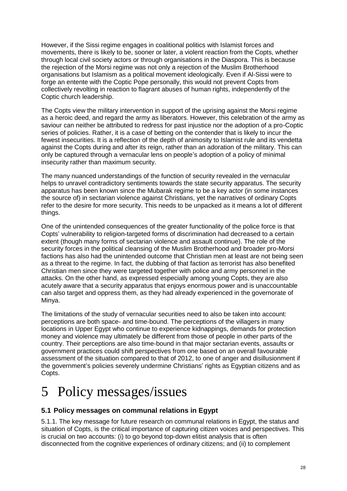However, if the Sissi regime engages in coalitional politics with Islamist forces and movements, there is likely to be, sooner or later, a violent reaction from the Copts, whether through local civil society actors or through organisations in the Diaspora. This is because the rejection of the Morsi regime was not only a rejection of the Muslim Brotherhood organisations but Islamism as a political movement ideologically. Even if Al-Sissi were to forge an entente with the Coptic Pope personally, this would not prevent Copts from collectively revolting in reaction to flagrant abuses of human rights, independently of the Coptic church leadership.

The Copts view the military intervention in support of the uprising against the Morsi regime as a heroic deed, and regard the army as liberators. However, this celebration of the army as saviour can neither be attributed to redress for past injustice nor the adoption of a pro-Coptic series of policies. Rather, it is a case of betting on the contender that is likely to incur the fewest insecurities. It is a reflection of the depth of animosity to Islamist rule and its vendetta against the Copts during and after its reign, rather than an adoration of the military. This can only be captured through a vernacular lens on people's adoption of a policy of minimal insecurity rather than maximum security.

The many nuanced understandings of the function of security revealed in the vernacular helps to unravel contradictory sentiments towards the state security apparatus. The security apparatus has been known since the Mubarak regime to be a key actor (in some instances the source of) in sectarian violence against Christians, yet the narratives of ordinary Copts refer to the desire for more security. This needs to be unpacked as it means a lot of different things.

One of the unintended consequences of the greater functionality of the police force is that Copts' vulnerability to religion-targeted forms of discrimination had decreased to a certain extent (though many forms of sectarian violence and assault continue). The role of the security forces in the political cleansing of the Muslim Brotherhood and broader pro-Morsi factions has also had the unintended outcome that Christian men at least are not being seen as a threat to the regime. In fact, the dubbing of that faction as terrorist has also benefited Christian men since they were targeted together with police and army personnel in the attacks. On the other hand, as expressed especially among young Copts, they are also acutely aware that a security apparatus that enjoys enormous power and is unaccountable can also target and oppress them, as they had already experienced in the governorate of Minya.

The limitations of the study of vernacular securities need to also be taken into account: perceptions are both space- and time-bound. The perceptions of the villagers in many locations in Upper Egypt who continue to experience kidnappings, demands for protection money and violence may ultimately be different from those of people in other parts of the country. Their perceptions are also time-bound in that major sectarian events, assaults or government practices could shift perspectives from one based on an overall favourable assessment of the situation compared to that of 2012, to one of anger and disillusionment if the government's policies severely undermine Christians' rights as Egyptian citizens and as Copts.

# <span id="page-27-0"></span>5 Policy messages/issues

### <span id="page-27-1"></span>**5.1 Policy messages on communal relations in Egypt**

5.1.1. The key message for future research on communal relations in Egypt, the status and situation of Copts, is the critical importance of capturing citizen voices and perspectives. This is crucial on two accounts: (i) to go beyond top-down elitist analysis that is often disconnected from the cognitive experiences of ordinary citizens; and (ii) to complement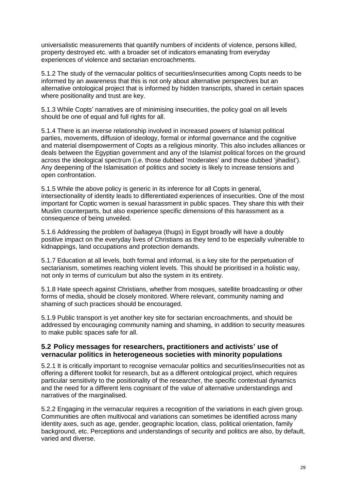universalistic measurements that quantify numbers of incidents of violence, persons killed, property destroyed etc. with a broader set of indicators emanating from everyday experiences of violence and sectarian encroachments.

5.1.2 The study of the vernacular politics of securities/insecurities among Copts needs to be informed by an awareness that this is not only about alternative perspectives but an alternative ontological project that is informed by hidden transcripts, shared in certain spaces where positionality and trust are key.

5.1.3 While Copts' narratives are of minimising insecurities, the policy goal on all levels should be one of equal and full rights for all.

5.1.4 There is an inverse relationship involved in increased powers of Islamist political parties, movements, diffusion of ideology, formal or informal governance and the cognitive and material disempowerment of Copts as a religious minority. This also includes alliances or deals between the Egyptian government and any of the Islamist political forces on the ground across the ideological spectrum (i.e. those dubbed 'moderates' and those dubbed 'jihadist'). Any deepening of the Islamisation of politics and society is likely to increase tensions and open confrontation.

5.1.5 While the above policy is generic in its inference for all Copts in general, intersectionality of identity leads to differentiated experiences of insecurities. One of the most important for Coptic women is sexual harassment in public spaces. They share this with their Muslim counterparts, but also experience specific dimensions of this harassment as a consequence of being unveiled.

5.1.6 Addressing the problem of *baltageya* (thugs) in Egypt broadly will have a doubly positive impact on the everyday lives of Christians as they tend to be especially vulnerable to kidnappings, land occupations and protection demands.

5.1.7 Education at all levels, both formal and informal, is a key site for the perpetuation of sectarianism, sometimes reaching violent levels. This should be prioritised in a holistic way, not only in terms of curriculum but also the system in its entirety.

5.1.8 Hate speech against Christians, whether from mosques, satellite broadcasting or other forms of media, should be closely monitored. Where relevant, community naming and shaming of such practices should be encouraged.

5.1.9 Public transport is yet another key site for sectarian encroachments, and should be addressed by encouraging community naming and shaming, in addition to security measures to make public spaces safe for all.

#### <span id="page-28-0"></span>**5.2 Policy messages for researchers, practitioners and activists' use of vernacular politics in heterogeneous societies with minority populations**

5.2.1 It is critically important to recognise vernacular politics and securities/insecurities not as offering a different toolkit for research, but as a different ontological project, which requires particular sensitivity to the positionality of the researcher, the specific contextual dynamics and the need for a different lens cognisant of the value of alternative understandings and narratives of the marginalised.

5.2.2 Engaging in the vernacular requires a recognition of the variations in each given group. Communities are often multivocal and variations can sometimes be identified across many identity axes, such as age, gender, geographic location, class, political orientation, family background, etc. Perceptions and understandings of security and politics are also, by default, varied and diverse.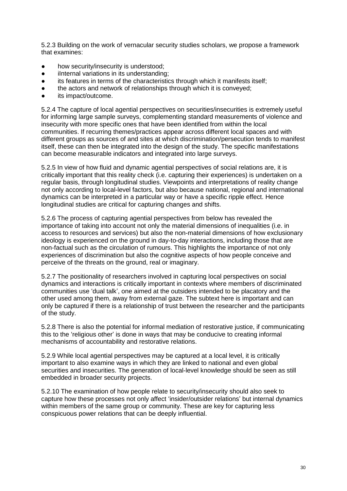5.2.3 Building on the work of vernacular security studies scholars, we propose a framework that examines:

- how security/insecurity is understood;
- iInternal variations in its understanding;
- its features in terms of the characteristics through which it manifests itself;
- the actors and network of relationships through which it is conveyed;
- its impact/outcome.

5.2.4 The capture of local agential perspectives on securities/insecurities is extremely useful for informing large sample surveys, complementing standard measurements of violence and insecurity with more specific ones that have been identified from within the local communities. If recurring themes/practices appear across different local spaces and with different groups as sources of and sites at which discrimination/persecution tends to manifest itself, these can then be integrated into the design of the study. The specific manifestations can become measurable indicators and integrated into large surveys.

5.2.5 In view of how fluid and dynamic agential perspectives of social relations are, it is critically important that this reality check (i.e. capturing their experiences) is undertaken on a regular basis, through longitudinal studies. Viewpoints and interpretations of reality change not only according to local-level factors, but also because national, regional and international dynamics can be interpreted in a particular way or have a specific ripple effect. Hence longitudinal studies are critical for capturing changes and shifts.

5.2.6 The process of capturing agential perspectives from below has revealed the importance of taking into account not only the material dimensions of inequalities (i.e. in access to resources and services) but also the non-material dimensions of how exclusionary ideology is experienced on the ground in day-to-day interactions, including those that are non-factual such as the circulation of rumours. This highlights the importance of not only experiences of discrimination but also the cognitive aspects of how people conceive and perceive of the threats on the ground, real or imaginary.

5.2.7 The positionality of researchers involved in capturing local perspectives on social dynamics and interactions is critically important in contexts where members of discriminated communities use 'dual talk', one aimed at the outsiders intended to be placatory and the other used among them, away from external gaze. The subtext here is important and can only be captured if there is a relationship of trust between the researcher and the participants of the study.

5.2.8 There is also the potential for informal mediation of restorative justice, if communicating this to the 'religious other' is done in ways that may be conducive to creating informal mechanisms of accountability and restorative relations.

5.2.9 While local agential perspectives may be captured at a local level, it is critically important to also examine ways in which they are linked to national and even global securities and insecurities. The generation of local-level knowledge should be seen as still embedded in broader security projects.

<span id="page-29-0"></span>5.2.10 The examination of how people relate to security/insecurity should also seek to capture how these processes not only affect 'insider/outsider relations' but internal dynamics within members of the same group or community. These are key for capturing less conspicuous power relations that can be deeply influential.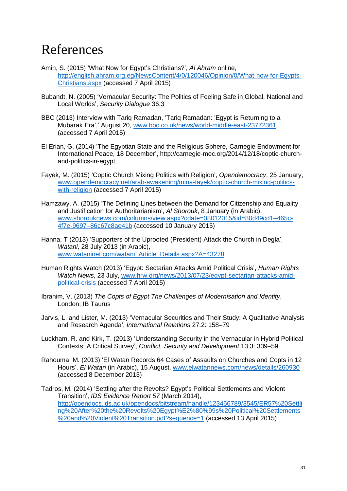### References

- Amin, S. (2015) 'What Now for Egypt's Christians?', *Al Ahram* online, [http://english.ahram.org.eg/NewsContent/4/0/120046/Opinion/0/What-now-for-Egypts-](http://english.ahram.org.eg/NewsContent/4/0/120046/Opinion/0/What-now-for-Egypts-Christians.aspx)[Christians.aspx](http://english.ahram.org.eg/NewsContent/4/0/120046/Opinion/0/What-now-for-Egypts-Christians.aspx) (accessed 7 April 2015)
- Bubandt, N. (2005) 'Vernacular Security: The Politics of Feeling Safe in Global, National and Local Worlds', *Security Dialogue* 36.3
- BBC (2013) Interview with Tariq Ramadan, 'Tariq Ramadan: 'Egypt is Returning to a Mubarak Era',' August 20, [www.bbc.co.uk/news/world-middle-east-23772361](http://www.bbc.co.uk/news/world-middle-east-23772361) (accessed 7 April 2015)
- El Erian, G. (2014) ['The Egyptian State and the Religious Sphere,](http://carnegie-mec.org/2014/09/18/egyptian-state-and-religious-sphere/hpac) Carnegie Endowment for International Peace, 18 December', [http://carnegie-mec.org/2014/12/18/coptic-church](http://carnegie-mec.org/2014/12/18/coptic-church-and-politics-in-egypt)[and-politics-in-egypt](http://carnegie-mec.org/2014/12/18/coptic-church-and-politics-in-egypt)
- Fayek, M. (2015) 'Coptic Church Mixing Politics with Religion', *Opendemocracy*, 25 January, [www.opendemocracy.net/arab-awakening/mina-fayek/coptic-church-mixing-politics](http://www.opendemocracy.net/arab-awakening/mina-fayek/coptic-church-mixing-politics-with-religion)[with-religion](http://www.opendemocracy.net/arab-awakening/mina-fayek/coptic-church-mixing-politics-with-religion) (accessed 7 April 2015)
- Hamzawy, A. (2015) 'The Defining Lines between the Demand for Citizenship and Equality and Justification for Authoritarianism', *Al Shorouk*, 8 January (in Arabic), [www.shorouknews.com/columns/view.aspx?cdate=08012015&id=80d49cd1–465c-](http://www.shorouknews.com/columns/view.aspx?cdate=08012015&id=80d49cd1-465c-4f7e-9697-86c67c8ae41b)[4f7e-9697–86c67c8ae41b](http://www.shorouknews.com/columns/view.aspx?cdate=08012015&id=80d49cd1-465c-4f7e-9697-86c67c8ae41b) (accessed 10 January 2015)
- Hanna, T (2013) 'Supporters of the Uprooted (President) Attack the Church in Degla', *Watani,* 28 July 2013 (in Arabic), [www.wataninet.com/watani\\_Article\\_Details.aspx?A=43278](http://www.wataninet.com/watani_Article_Details.aspx?A=43278)
- Human Rights Watch (2013) 'Egypt: Sectarian Attacks Amid Political Crisis', *Human Rights Watch News*, 23 July, [www.hrw.org/news/2013/07/23/egypt-sectarian-attacks-amid](http://www.hrw.org/news/2013/07/23/egypt-sectarian-attacks-amid-political-crisis)[political-crisis](http://www.hrw.org/news/2013/07/23/egypt-sectarian-attacks-amid-political-crisis) (accessed 7 April 2015)
- Ibrahim, V. (2013) *The Copts of Egypt The Challenges of Modernisation and Identity*, London: IB Taurus
- Jarvis, L. and Lister, M. (2013) ['Vernacular Securities and Their Study: A Qualitative Analysis](http://scholar.google.com/citations?view_op=view_citation&hl=ru&user=na26xzEAAAAJ&citation_for_view=na26xzEAAAAJ:5nxA0vEk-isC)  [and Research Agenda'](http://scholar.google.com/citations?view_op=view_citation&hl=ru&user=na26xzEAAAAJ&citation_for_view=na26xzEAAAAJ:5nxA0vEk-isC), *International Relations* 27.2: 158–79
- Luckham, R. and Kirk, T. (2013) 'Understanding Security in the Vernacular in Hybrid Political Contexts: A Critical Survey', *Conflict, Security and Development* 13.3: 339–59
- Rahouma, M. (2013) 'El Watan Records 64 Cases of Assaults on Churches and Copts in 12 Hours', *El Watan* (in Arabic), 15 August, [www.elwatannews.com/news/details/260930](http://www.elwatannews.com/news/details/260930) (accessed 8 December 2013)
- Tadros, M. (2014) 'Settling after the Revolts? Egypt's Political Settlements and Violent Transition', *IDS Evidence Report 57* (March 2014), [http://opendocs.ids.ac.uk/opendocs/bitstream/handle/123456789/3545/ER57%20Settli](http://opendocs.ids.ac.uk/opendocs/bitstream/handle/123456789/3545/ER57%20Settling%20After%20the%20Revolts%20Egypt%E2%80%99s%20Political%20Settlements%20and%20Violent%20Transition.pdf?sequence=1) [ng%20After%20the%20Revolts%20Egypt%E2%80%99s%20Political%20Settlements](http://opendocs.ids.ac.uk/opendocs/bitstream/handle/123456789/3545/ER57%20Settling%20After%20the%20Revolts%20Egypt%E2%80%99s%20Political%20Settlements%20and%20Violent%20Transition.pdf?sequence=1) [%20and%20Violent%20Transition.pdf?sequence=1](http://opendocs.ids.ac.uk/opendocs/bitstream/handle/123456789/3545/ER57%20Settling%20After%20the%20Revolts%20Egypt%E2%80%99s%20Political%20Settlements%20and%20Violent%20Transition.pdf?sequence=1) (accessed 13 April 2015)